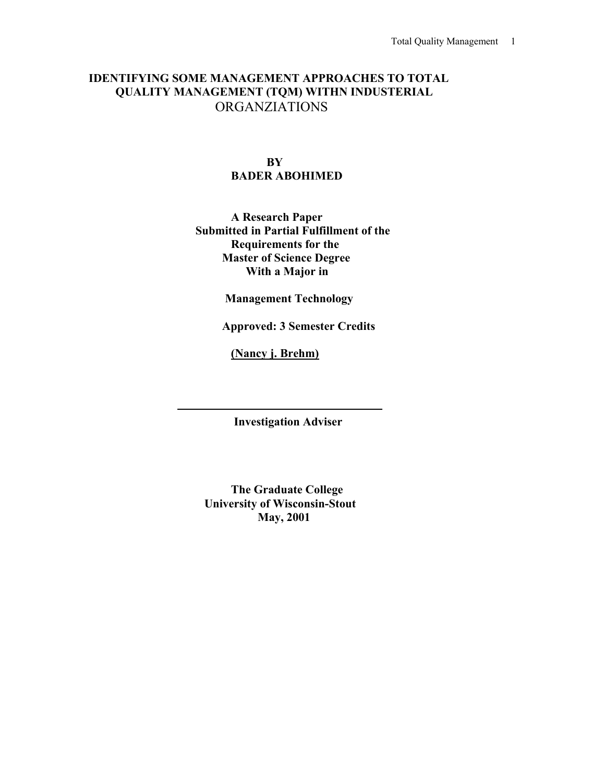## **IDENTIFYING SOME MANAGEMENT APPROACHES TO TOTAL QUALITY MANAGEMENT (TQM) WITHN INDUSTERIAL**  ORGANZIATIONS

## **BY BADER ABOHIMED**

**A Research Paper Submitted in Partial Fulfillment of the Requirements for the Master of Science Degree With a Major in** 

 **Management Technology** 

**Approved: 3 Semester Credits** 

**(Nancy j. Brehm)** 

 **Investigation Adviser** 

**The Graduate College University of Wisconsin-Stout May, 2001**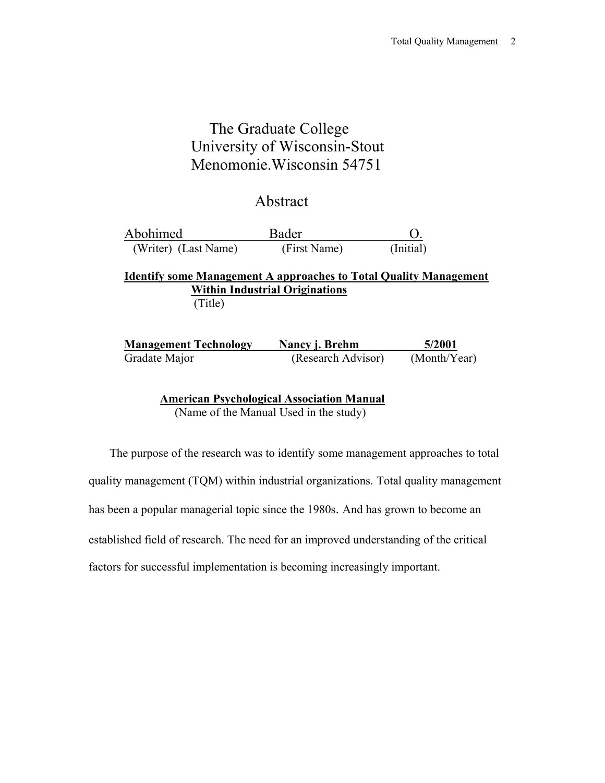# The Graduate College University of Wisconsin-Stout Menomonie.Wisconsin 54751

# Abstract

Abohimed Bader O. (Writer) (Last Name) (First Name) (Initial)

### **Identify some Management A approaches to Total Quality Management Within Industrial Originations** (Title)

| <b>Management Technology</b> | Nancy <i>i</i> . Brehm | 5/2001       |
|------------------------------|------------------------|--------------|
| Gradate Major                | (Research Advisor)     | (Month/Year) |

**American Psychological Association Manual**  (Name of the Manual Used in the study)

 The purpose of the research was to identify some management approaches to total quality management (TQM) within industrial organizations. Total quality management has been a popular managerial topic since the 1980s. And has grown to become an established field of research. The need for an improved understanding of the critical factors for successful implementation is becoming increasingly important.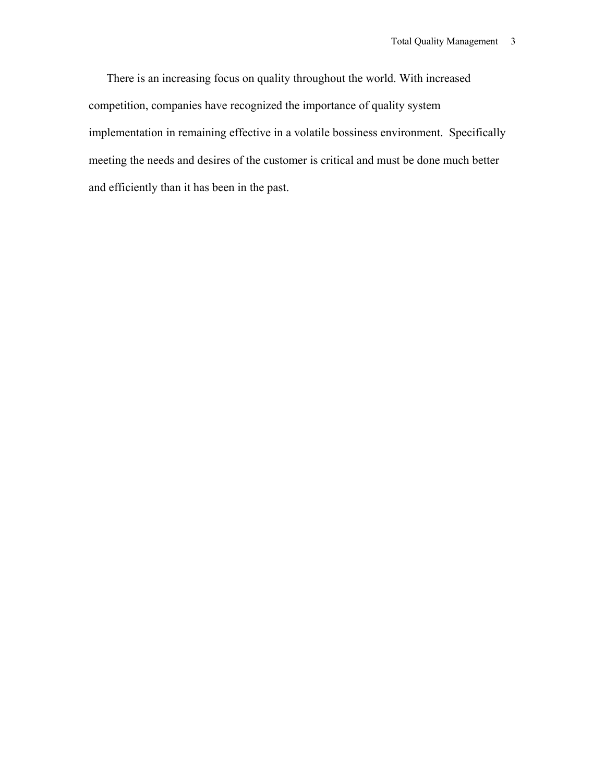There is an increasing focus on quality throughout the world. With increased competition, companies have recognized the importance of quality system implementation in remaining effective in a volatile bossiness environment. Specifically meeting the needs and desires of the customer is critical and must be done much better and efficiently than it has been in the past.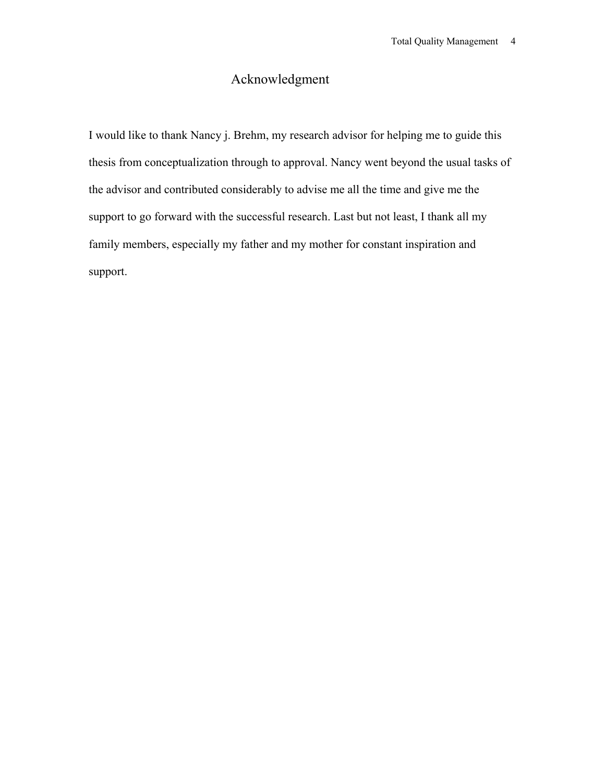# Acknowledgment

I would like to thank Nancy j. Brehm, my research advisor for helping me to guide this thesis from conceptualization through to approval. Nancy went beyond the usual tasks of the advisor and contributed considerably to advise me all the time and give me the support to go forward with the successful research. Last but not least, I thank all my family members, especially my father and my mother for constant inspiration and support.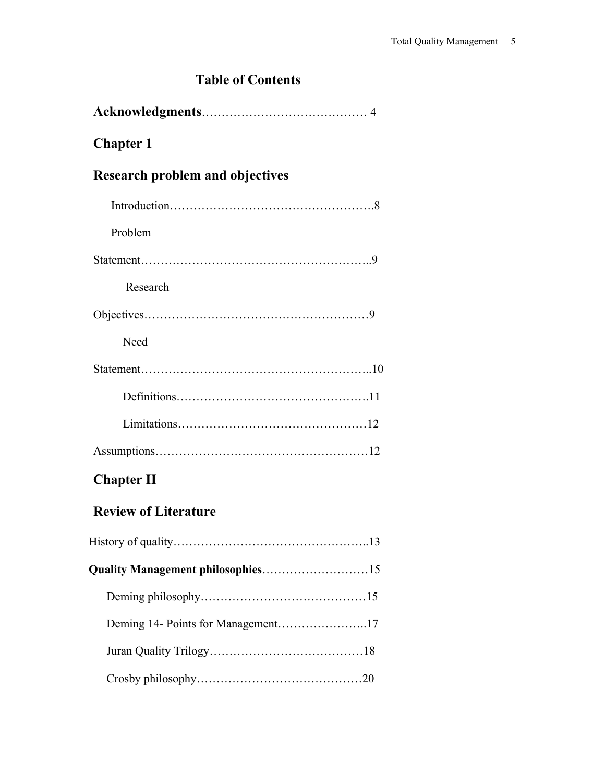# **Table of Contents**

| <b>Chapter 1</b>                       |
|----------------------------------------|
| <b>Research problem and objectives</b> |
|                                        |
| Problem                                |
|                                        |
| Research                               |
|                                        |
| Need                                   |
|                                        |
|                                        |
|                                        |
|                                        |
| <b>Chapter II</b>                      |
| <b>Review of Literature</b>            |
|                                        |
|                                        |
|                                        |
|                                        |
|                                        |
|                                        |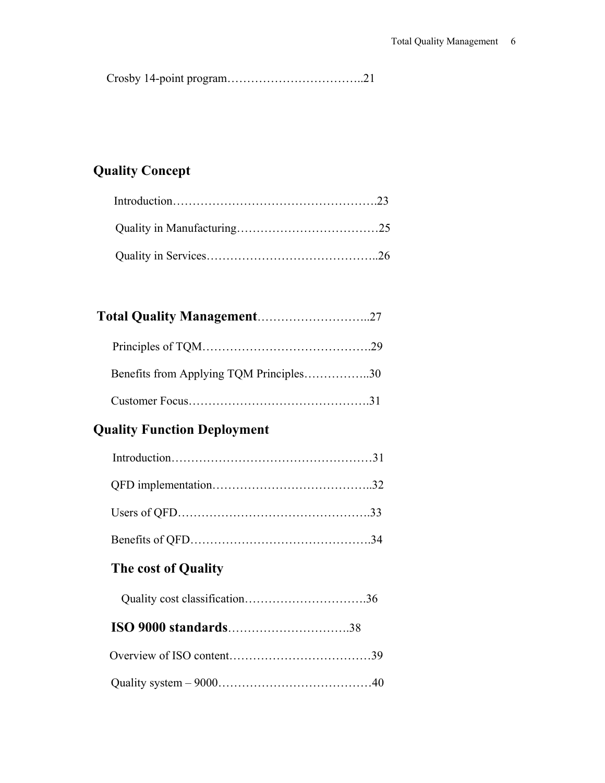|--|--|

# **Quality Concept**

|--|--|--|

| Benefits from Applying TQM Principles30 |  |
|-----------------------------------------|--|
|                                         |  |

# **Quality Function Deployment**

# **The cost of Quality**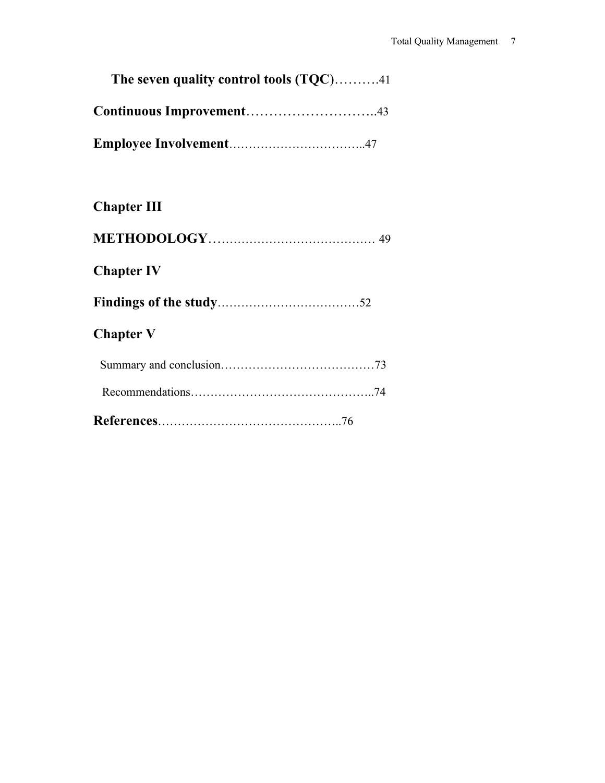| The seven quality control tools (TQC)41 |
|-----------------------------------------|
|                                         |
|                                         |
|                                         |
| <b>Chapter III</b>                      |
|                                         |
| <b>Chapter IV</b>                       |
|                                         |
| <b>Chapter V</b>                        |
|                                         |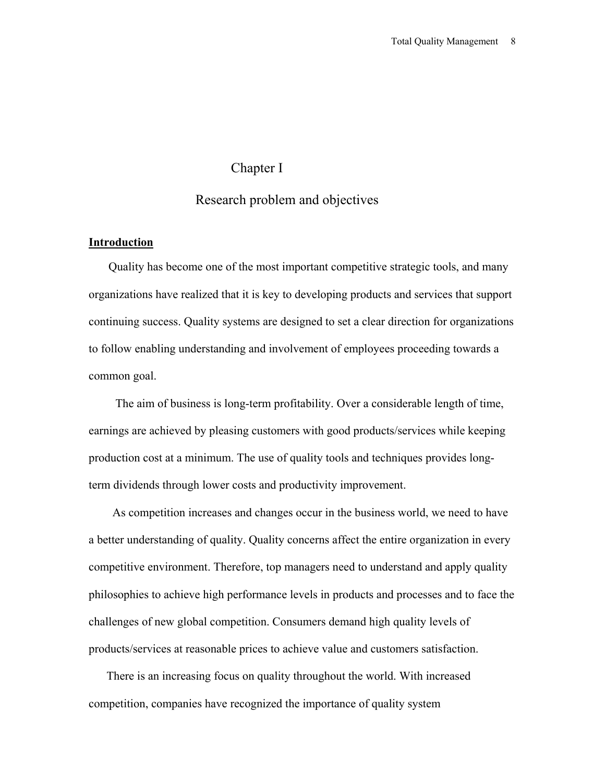## Chapter I

### Research problem and objectives

#### **Introduction**

 Quality has become one of the most important competitive strategic tools, and many organizations have realized that it is key to developing products and services that support continuing success. Quality systems are designed to set a clear direction for organizations to follow enabling understanding and involvement of employees proceeding towards a common goal.

 The aim of business is long-term profitability. Over a considerable length of time, earnings are achieved by pleasing customers with good products/services while keeping production cost at a minimum. The use of quality tools and techniques provides longterm dividends through lower costs and productivity improvement.

 As competition increases and changes occur in the business world, we need to have a better understanding of quality. Quality concerns affect the entire organization in every competitive environment. Therefore, top managers need to understand and apply quality philosophies to achieve high performance levels in products and processes and to face the challenges of new global competition. Consumers demand high quality levels of products/services at reasonable prices to achieve value and customers satisfaction.

 There is an increasing focus on quality throughout the world. With increased competition, companies have recognized the importance of quality system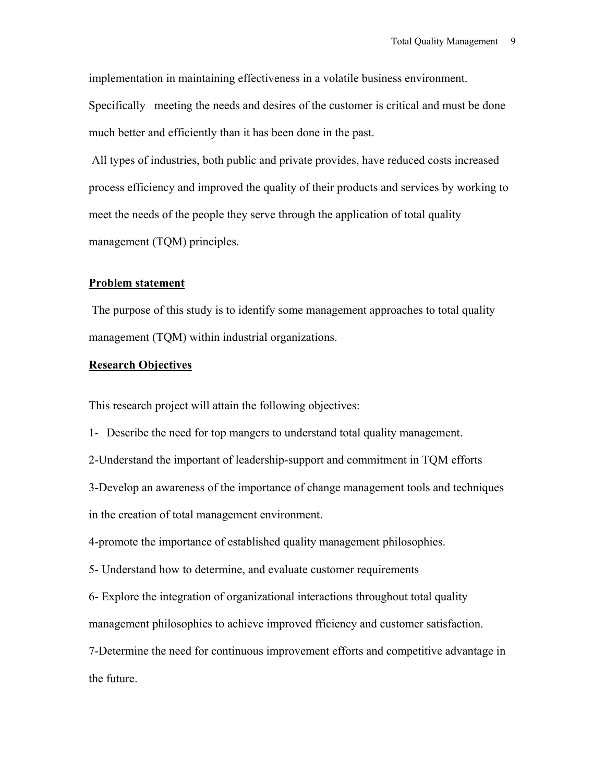implementation in maintaining effectiveness in a volatile business environment. Specifically meeting the needs and desires of the customer is critical and must be done much better and efficiently than it has been done in the past.

 All types of industries, both public and private provides, have reduced costs increased process efficiency and improved the quality of their products and services by working to meet the needs of the people they serve through the application of total quality management (TQM) principles.

#### **Problem statement**

 The purpose of this study is to identify some management approaches to total quality management (TQM) within industrial organizations.

#### **Research Objectives**

This research project will attain the following objectives:

1- Describe the need for top mangers to understand total quality management.

2-Understand the important of leadership-support and commitment in TQM efforts

3-Develop an awareness of the importance of change management tools and techniques

in the creation of total management environment.

4-promote the importance of established quality management philosophies.

5- Understand how to determine, and evaluate customer requirements

6- Explore the integration of organizational interactions throughout total quality

management philosophies to achieve improved fficiency and customer satisfaction.

7-Determine the need for continuous improvement efforts and competitive advantage in the future.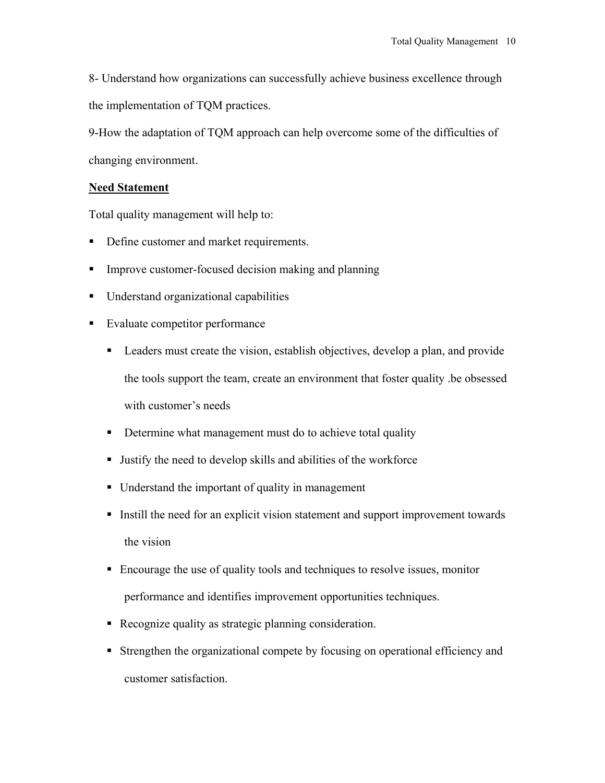8- Understand how organizations can successfully achieve business excellence through the implementation of TQM practices.

9-How the adaptation of TQM approach can help overcome some of the difficulties of changing environment.

## **Need Statement**

Total quality management will help to:

- Define customer and market requirements.
- **Improve customer-focused decision making and planning**
- **Understand organizational capabilities**
- Evaluate competitor performance
	- Leaders must create the vision, establish objectives, develop a plan, and provide the tools support the team, create an environment that foster quality .be obsessed with customer's needs
	- Determine what management must do to achieve total quality
	- Justify the need to develop skills and abilities of the workforce
	- Understand the important of quality in management
	- Instill the need for an explicit vision statement and support improvement towards the vision
	- Encourage the use of quality tools and techniques to resolve issues, monitor performance and identifies improvement opportunities techniques.
	- Recognize quality as strategic planning consideration.
	- Strengthen the organizational compete by focusing on operational efficiency and customer satisfaction.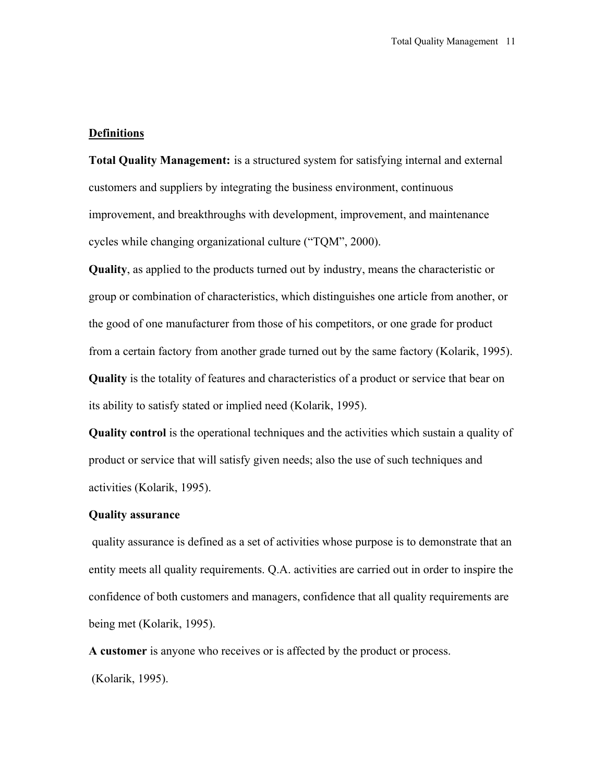#### **Definitions**

**Total Quality Management:** is a structured system for satisfying internal and external customers and suppliers by integrating the business environment, continuous improvement, and breakthroughs with development, improvement, and maintenance cycles while changing organizational culture ("TQM", 2000).

**Quality**, as applied to the products turned out by industry, means the characteristic or group or combination of characteristics, which distinguishes one article from another, or the good of one manufacturer from those of his competitors, or one grade for product from a certain factory from another grade turned out by the same factory (Kolarik, 1995). **Quality** is the totality of features and characteristics of a product or service that bear on its ability to satisfy stated or implied need (Kolarik, 1995).

**Quality control** is the operational techniques and the activities which sustain a quality of product or service that will satisfy given needs; also the use of such techniques and activities (Kolarik, 1995).

#### **Quality assurance**

quality assurance is defined as a set of activities whose purpose is to demonstrate that an entity meets all quality requirements. Q.A. activities are carried out in order to inspire the confidence of both customers and managers, confidence that all quality requirements are being met (Kolarik, 1995).

**A customer** is anyone who receives or is affected by the product or process. (Kolarik, 1995).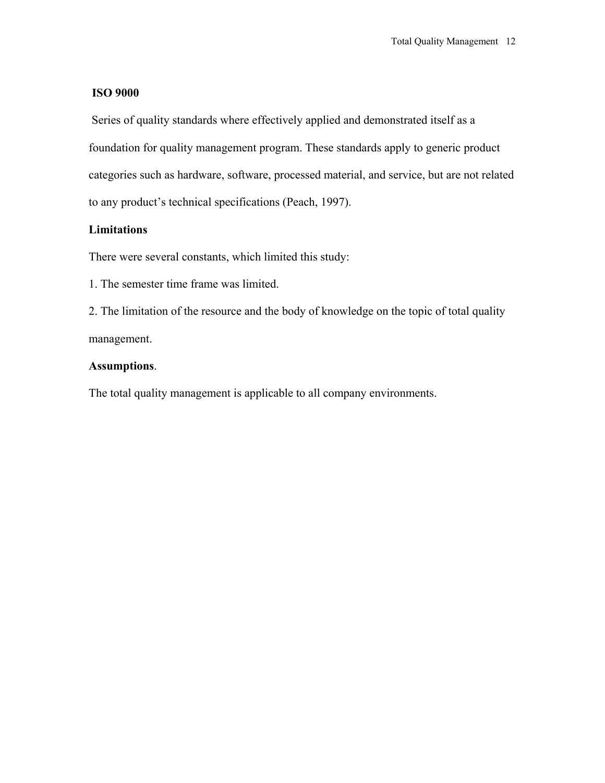## **ISO 9000**

 Series of quality standards where effectively applied and demonstrated itself as a foundation for quality management program. These standards apply to generic product categories such as hardware, software, processed material, and service, but are not related to any product's technical specifications (Peach, 1997).

## **Limitations**

There were several constants, which limited this study:

1. The semester time frame was limited.

2. The limitation of the resource and the body of knowledge on the topic of total quality management.

## **Assumptions**.

The total quality management is applicable to all company environments.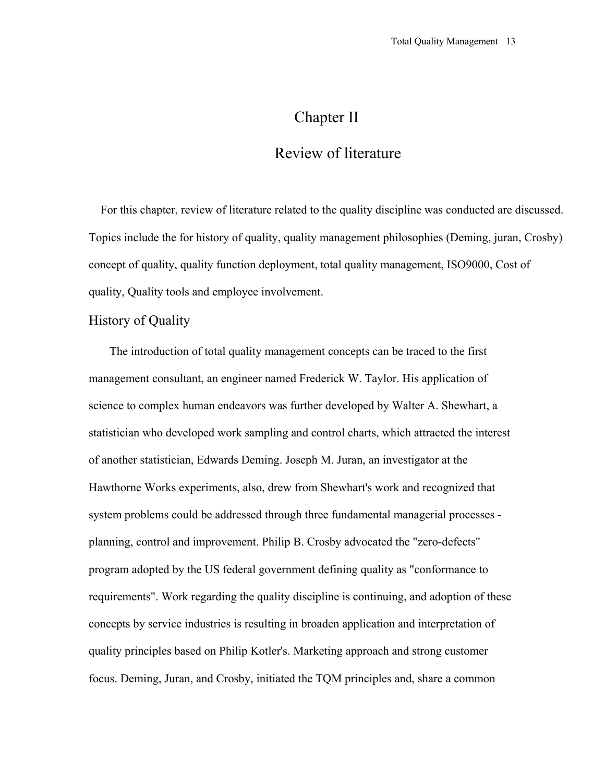# Chapter II

# Review of literature

 For this chapter, review of literature related to the quality discipline was conducted are discussed. Topics include the for history of quality, quality management philosophies (Deming, juran, Crosby) concept of quality, quality function deployment, total quality management, ISO9000, Cost of quality, Quality tools and employee involvement.

## History of Quality

 The introduction of total quality management concepts can be traced to the first management consultant, an engineer named Frederick W. Taylor. His application of science to complex human endeavors was further developed by Walter A. Shewhart, a statistician who developed work sampling and control charts, which attracted the interest of another statistician, Edwards Deming. Joseph M. Juran, an investigator at the Hawthorne Works experiments, also, drew from Shewhart's work and recognized that system problems could be addressed through three fundamental managerial processes planning, control and improvement. Philip B. Crosby advocated the "zero-defects" program adopted by the US federal government defining quality as "conformance to requirements". Work regarding the quality discipline is continuing, and adoption of these concepts by service industries is resulting in broaden application and interpretation of quality principles based on Philip Kotler's. Marketing approach and strong customer focus. Deming, Juran, and Crosby, initiated the TQM principles and, share a common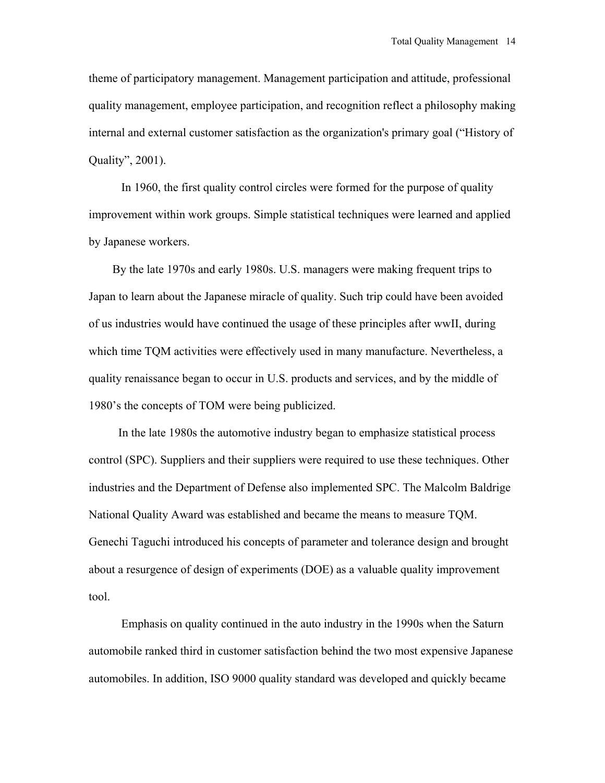theme of participatory management. Management participation and attitude, professional quality management, employee participation, and recognition reflect a philosophy making internal and external customer satisfaction as the organization's primary goal ("History of Quality", 2001).

 In 1960, the first quality control circles were formed for the purpose of quality improvement within work groups. Simple statistical techniques were learned and applied by Japanese workers.

 By the late 1970s and early 1980s. U.S. managers were making frequent trips to Japan to learn about the Japanese miracle of quality. Such trip could have been avoided of us industries would have continued the usage of these principles after wwII, during which time TQM activities were effectively used in many manufacture. Nevertheless, a quality renaissance began to occur in U.S. products and services, and by the middle of 1980's the concepts of TOM were being publicized.

 In the late 1980s the automotive industry began to emphasize statistical process control (SPC). Suppliers and their suppliers were required to use these techniques. Other industries and the Department of Defense also implemented SPC. The Malcolm Baldrige National Quality Award was established and became the means to measure TQM. Genechi Taguchi introduced his concepts of parameter and tolerance design and brought about a resurgence of design of experiments (DOE) as a valuable quality improvement tool.

 Emphasis on quality continued in the auto industry in the 1990s when the Saturn automobile ranked third in customer satisfaction behind the two most expensive Japanese automobiles. In addition, ISO 9000 quality standard was developed and quickly became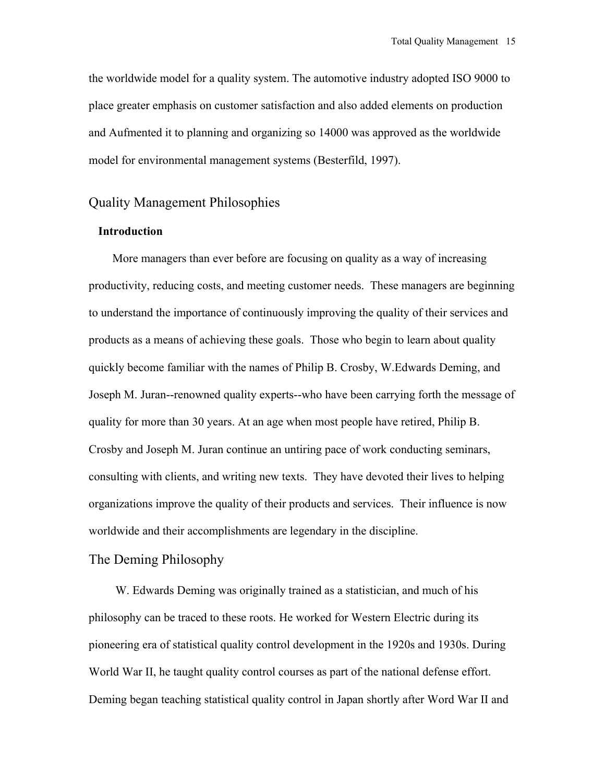the worldwide model for a quality system. The automotive industry adopted ISO 9000 to place greater emphasis on customer satisfaction and also added elements on production and Aufmented it to planning and organizing so 14000 was approved as the worldwide model for environmental management systems (Besterfild, 1997).

## Quality Management Philosophies

#### **Introduction**

 More managers than ever before are focusing on quality as a way of increasing productivity, reducing costs, and meeting customer needs. These managers are beginning to understand the importance of continuously improving the quality of their services and products as a means of achieving these goals. Those who begin to learn about quality quickly become familiar with the names of Philip B. Crosby, W.Edwards Deming, and Joseph M. Juran--renowned quality experts--who have been carrying forth the message of quality for more than 30 years. At an age when most people have retired, Philip B. Crosby and Joseph M. Juran continue an untiring pace of work conducting seminars, consulting with clients, and writing new texts. They have devoted their lives to helping organizations improve the quality of their products and services. Their influence is now worldwide and their accomplishments are legendary in the discipline.

#### The Deming Philosophy

 W. Edwards Deming was originally trained as a statistician, and much of his philosophy can be traced to these roots. He worked for Western Electric during its pioneering era of statistical quality control development in the 1920s and 1930s. During World War II, he taught quality control courses as part of the national defense effort. Deming began teaching statistical quality control in Japan shortly after Word War II and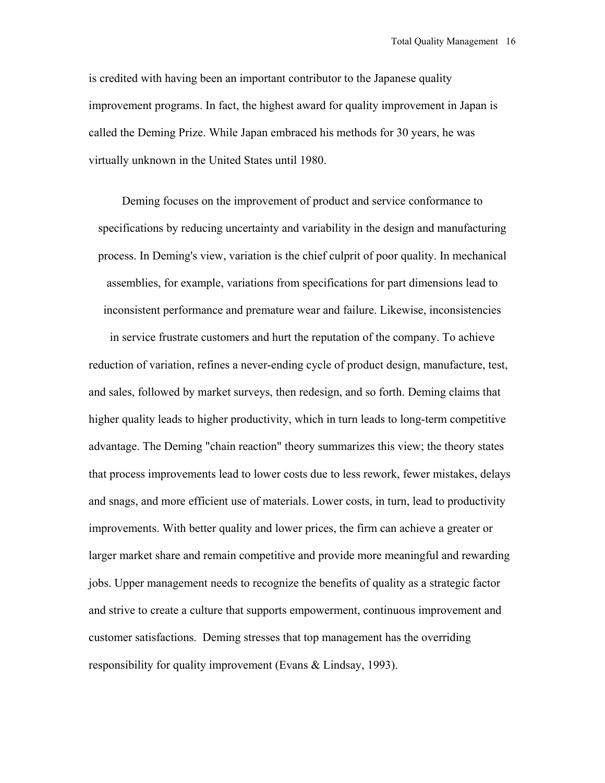is credited with having been an important contributor to the Japanese quality improvement programs. In fact, the highest award for quality improvement in Japan is called the Deming Prize. While Japan embraced his methods for 30 years, he was virtually unknown in the United States until 1980.

Deming focuses on the improvement of product and service conformance to specifications by reducing uncertainty and variability in the design and manufacturing process. In Deming's view, variation is the chief culprit of poor quality. In mechanical assemblies, for example, variations from specifications for part dimensions lead to inconsistent performance and premature wear and failure. Likewise, inconsistencies

in service frustrate customers and hurt the reputation of the company. To achieve reduction of variation, refines a never-ending cycle of product design, manufacture, test, and sales, followed by market surveys, then redesign, and so forth. Deming claims that higher quality leads to higher productivity, which in turn leads to long-term competitive advantage. The Deming "chain reaction" theory summarizes this view; the theory states that process improvements lead to lower costs due to less rework, fewer mistakes, delays and snags, and more efficient use of materials. Lower costs, in turn, lead to productivity improvements. With better quality and lower prices, the firm can achieve a greater or larger market share and remain competitive and provide more meaningful and rewarding jobs. Upper management needs to recognize the benefits of quality as a strategic factor and strive to create a culture that supports empowerment, continuous improvement and customer satisfactions. Deming stresses that top management has the overriding responsibility for quality improvement (Evans & Lindsay, 1993).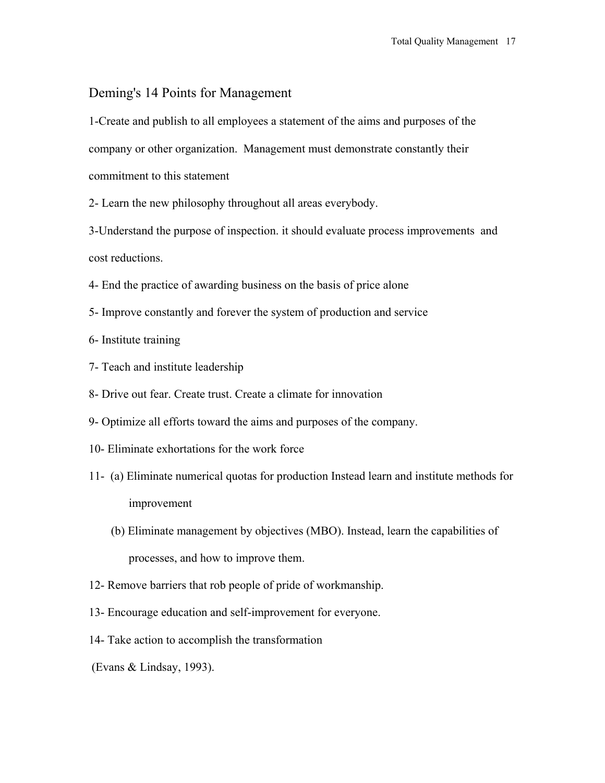# Deming's 14 Points for Management

1-Create and publish to all employees a statement of the aims and purposes of the company or other organization. Management must demonstrate constantly their commitment to this statement

2- Learn the new philosophy throughout all areas everybody.

- 3-Understand the purpose of inspection. it should evaluate process improvements and cost reductions.
- 4- End the practice of awarding business on the basis of price alone
- 5- Improve constantly and forever the system of production and service

6- Institute training

- 7- Teach and institute leadership
- 8- Drive out fear. Create trust. Create a climate for innovation
- 9- Optimize all efforts toward the aims and purposes of the company.
- 10- Eliminate exhortations for the work force
- 11- (a) Eliminate numerical quotas for production Instead learn and institute methods for improvement
	- (b) Eliminate management by objectives (MBO). Instead, learn the capabilities of processes, and how to improve them.
- 12- Remove barriers that rob people of pride of workmanship.
- 13- Encourage education and self-improvement for everyone.
- 14- Take action to accomplish the transformation
- (Evans & Lindsay, 1993).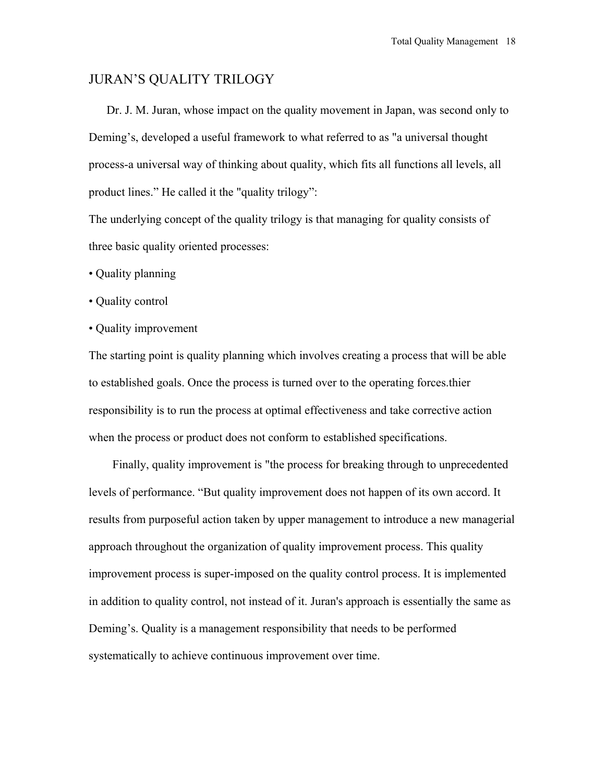# JURAN'S QUALITY TRILOGY

 Dr. J. M. Juran, whose impact on the quality movement in Japan, was second only to Deming's, developed a useful framework to what referred to as "a universal thought process-a universal way of thinking about quality, which fits all functions all levels, all product lines." He called it the "quality trilogy":

The underlying concept of the quality trilogy is that managing for quality consists of three basic quality oriented processes:

- Quality planning
- Quality control
- Quality improvement

The starting point is quality planning which involves creating a process that will be able to established goals. Once the process is turned over to the operating forces.thier responsibility is to run the process at optimal effectiveness and take corrective action when the process or product does not conform to established specifications.

 Finally, quality improvement is "the process for breaking through to unprecedented levels of performance. "But quality improvement does not happen of its own accord. It results from purposeful action taken by upper management to introduce a new managerial approach throughout the organization of quality improvement process. This quality improvement process is super-imposed on the quality control process. It is implemented in addition to quality control, not instead of it. Juran's approach is essentially the same as Deming's. Quality is a management responsibility that needs to be performed systematically to achieve continuous improvement over time.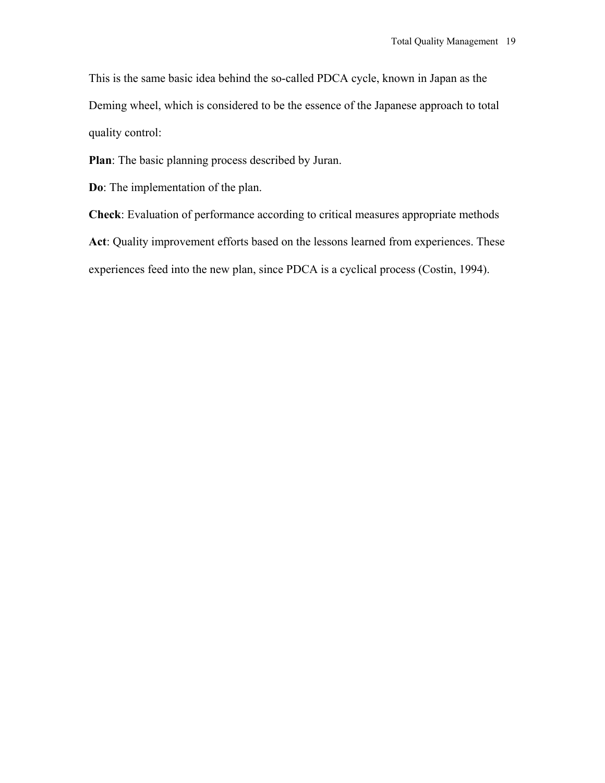This is the same basic idea behind the so-called PDCA cycle, known in Japan as the Deming wheel, which is considered to be the essence of the Japanese approach to total quality control:

**Plan**: The basic planning process described by Juran.

**Do**: The implementation of the plan.

**Check**: Evaluation of performance according to critical measures appropriate methods **Act**: Quality improvement efforts based on the lessons learned from experiences. These experiences feed into the new plan, since PDCA is a cyclical process (Costin, 1994).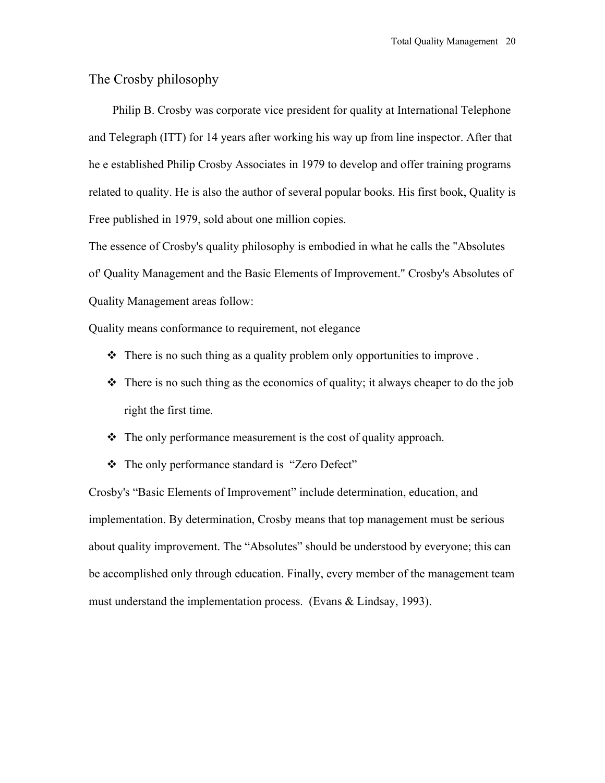# The Crosby philosophy

 Philip B. Crosby was corporate vice president for quality at International Telephone and Telegraph (ITT) for 14 years after working his way up from line inspector. After that he e established Philip Crosby Associates in 1979 to develop and offer training programs related to quality. He is also the author of several popular books. His first book, Quality is Free published in 1979, sold about one million copies.

The essence of Crosby's quality philosophy is embodied in what he calls the "Absolutes of' Quality Management and the Basic Elements of Improvement." Crosby's Absolutes of Quality Management areas follow:

Quality means conformance to requirement, not elegance

- $\triangle$  There is no such thing as a quality problem only opportunities to improve.
- $\triangle$  There is no such thing as the economics of quality; it always cheaper to do the job right the first time.
- $\triangle$  The only performance measurement is the cost of quality approach.
- The only performance standard is "Zero Defect"

Crosby's "Basic Elements of Improvement" include determination, education, and implementation. By determination, Crosby means that top management must be serious about quality improvement. The "Absolutes" should be understood by everyone; this can be accomplished only through education. Finally, every member of the management team must understand the implementation process. (Evans & Lindsay, 1993).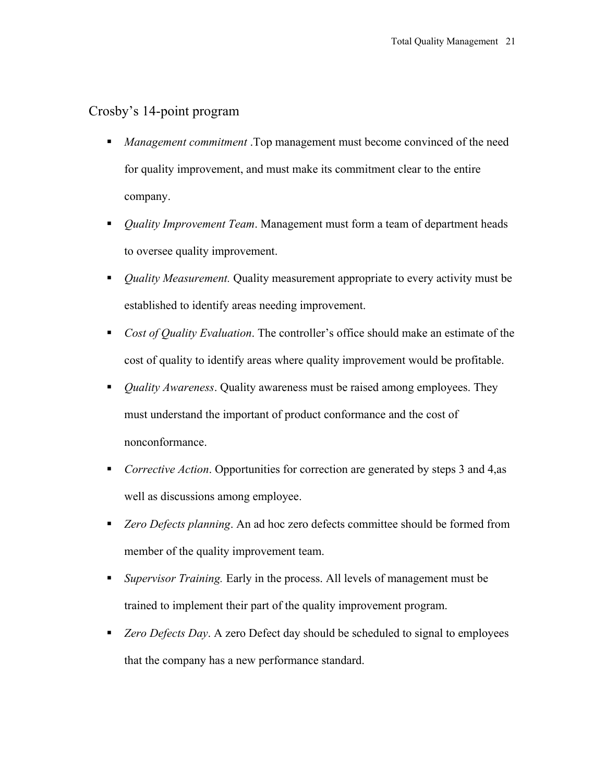# Crosby's 14-point program

- *Management commitment* .Top management must become convinced of the need for quality improvement, and must make its commitment clear to the entire company.
- *Quality Improvement Team*. Management must form a team of department heads to oversee quality improvement.
- *Quality Measurement.* Quality measurement appropriate to every activity must be established to identify areas needing improvement.
- *Cost of Quality Evaluation*. The controller's office should make an estimate of the cost of quality to identify areas where quality improvement would be profitable.
- *Quality Awareness*. Quality awareness must be raised among employees. They must understand the important of product conformance and the cost of nonconformance.
- *Corrective Action*. Opportunities for correction are generated by steps 3 and 4,as well as discussions among employee.
- *Zero Defects planning*. An ad hoc zero defects committee should be formed from member of the quality improvement team.
- *Supervisor Training.* Early in the process. All levels of management must be trained to implement their part of the quality improvement program.
- *Zero Defects Day*. A zero Defect day should be scheduled to signal to employees that the company has a new performance standard.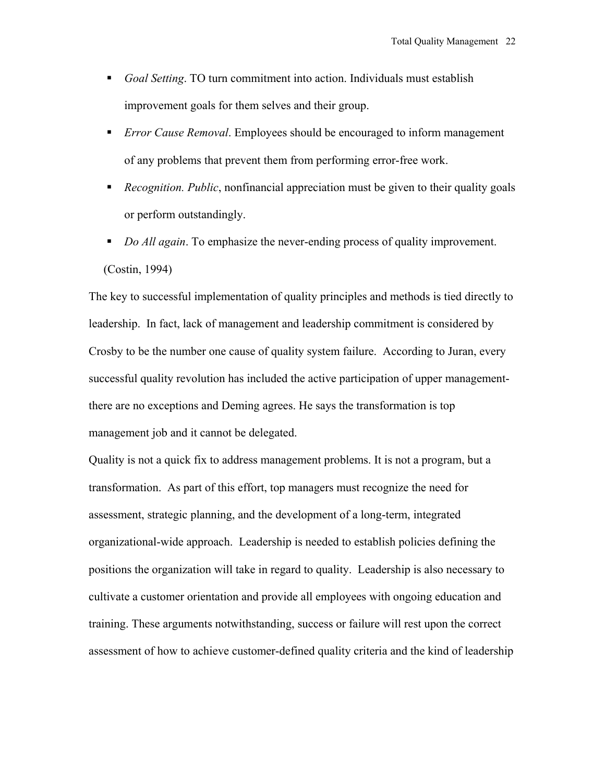- *Goal Setting*. TO turn commitment into action. Individuals must establish improvement goals for them selves and their group.
- *Error Cause Removal*. Employees should be encouraged to inform management of any problems that prevent them from performing error-free work.
- *Recognition. Public*, nonfinancial appreciation must be given to their quality goals or perform outstandingly.
- *Do All again*. To emphasize the never-ending process of quality improvement. (Costin, 1994)

The key to successful implementation of quality principles and methods is tied directly to leadership. In fact, lack of management and leadership commitment is considered by Crosby to be the number one cause of quality system failure. According to Juran, every successful quality revolution has included the active participation of upper managementthere are no exceptions and Deming agrees. He says the transformation is top management job and it cannot be delegated.

Quality is not a quick fix to address management problems. It is not a program, but a transformation. As part of this effort, top managers must recognize the need for assessment, strategic planning, and the development of a long-term, integrated organizational-wide approach. Leadership is needed to establish policies defining the positions the organization will take in regard to quality. Leadership is also necessary to cultivate a customer orientation and provide all employees with ongoing education and training. These arguments notwithstanding, success or failure will rest upon the correct assessment of how to achieve customer-defined quality criteria and the kind of leadership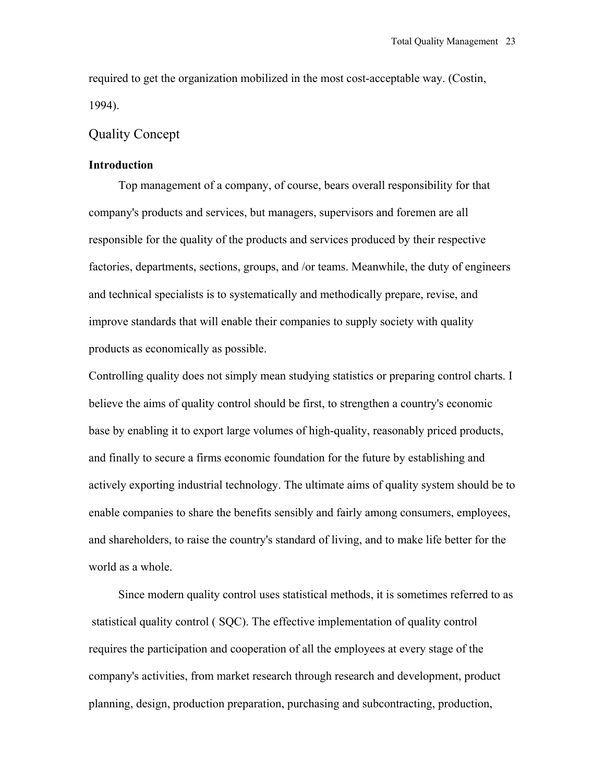required to get the organization mobilized in the most cost-acceptable way. (Costin, 1994).

### Quality Concept

### **Introduction**

 Top management of a company, of course, bears overall responsibility for that company's products and services, but managers, supervisors and foremen are all responsible for the quality of the products and services produced by their respective factories, departments, sections, groups, and /or teams. Meanwhile, the duty of engineers and technical specialists is to systematically and methodically prepare, revise, and improve standards that will enable their companies to supply society with quality products as economically as possible.

Controlling quality does not simply mean studying statistics or preparing control charts. I believe the aims of quality control should be first, to strengthen a country's economic base by enabling it to export large volumes of high-quality, reasonably priced products, and finally to secure a firms economic foundation for the future by establishing and actively exporting industrial technology. The ultimate aims of quality system should be to enable companies to share the benefits sensibly and fairly among consumers, employees, and shareholders, to raise the country's standard of living, and to make life better for the world as a whole.

 Since modern quality control uses statistical methods, it is sometimes referred to as statistical quality control ( SQC). The effective implementation of quality control requires the participation and cooperation of all the employees at every stage of the company's activities, from market research through research and development, product planning, design, production preparation, purchasing and subcontracting, production,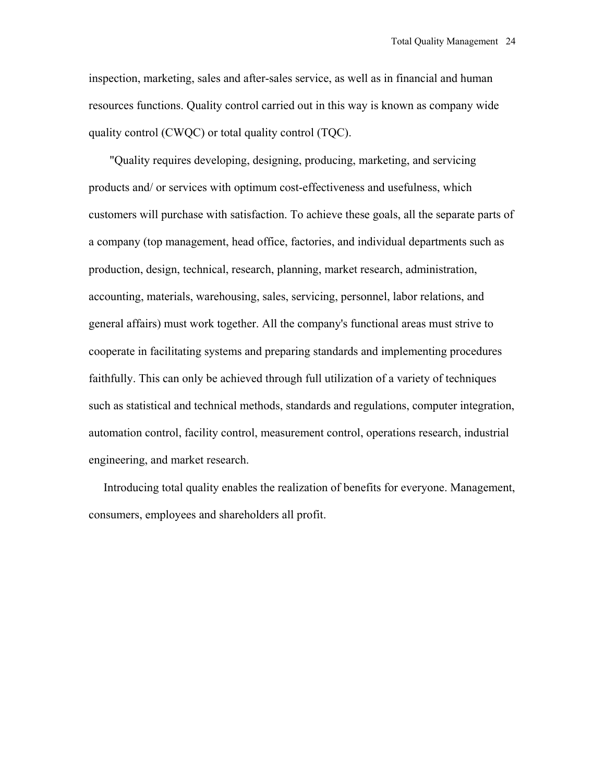inspection, marketing, sales and after-sales service, as well as in financial and human resources functions. Quality control carried out in this way is known as company wide quality control (CWQC) or total quality control (TQC).

 "Quality requires developing, designing, producing, marketing, and servicing products and/ or services with optimum cost-effectiveness and usefulness, which customers will purchase with satisfaction. To achieve these goals, all the separate parts of a company (top management, head office, factories, and individual departments such as production, design, technical, research, planning, market research, administration, accounting, materials, warehousing, sales, servicing, personnel, labor relations, and general affairs) must work together. All the company's functional areas must strive to cooperate in facilitating systems and preparing standards and implementing procedures faithfully. This can only be achieved through full utilization of a variety of techniques such as statistical and technical methods, standards and regulations, computer integration, automation control, facility control, measurement control, operations research, industrial engineering, and market research.

 Introducing total quality enables the realization of benefits for everyone. Management, consumers, employees and shareholders all profit.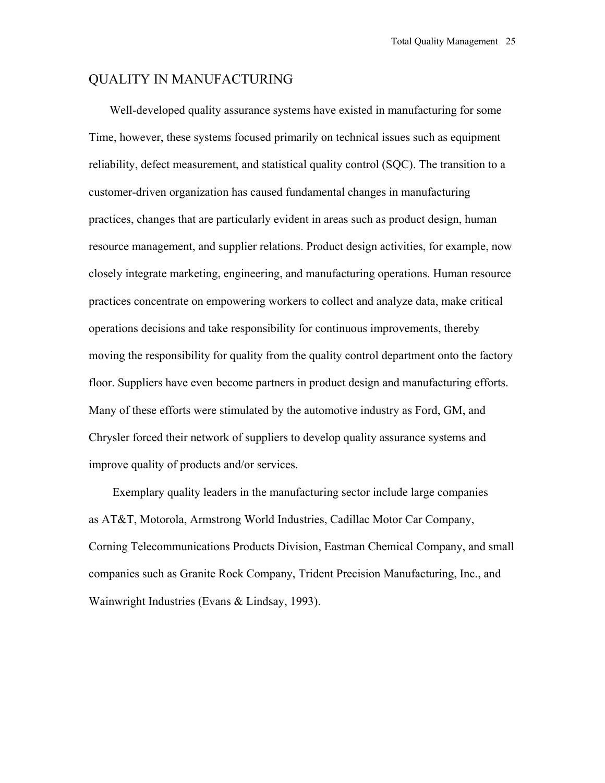### QUALITY IN MANUFACTURING

 Well-developed quality assurance systems have existed in manufacturing for some Time, however, these systems focused primarily on technical issues such as equipment reliability, defect measurement, and statistical quality control (SQC). The transition to a customer-driven organization has caused fundamental changes in manufacturing practices, changes that are particularly evident in areas such as product design, human resource management, and supplier relations. Product design activities, for example, now closely integrate marketing, engineering, and manufacturing operations. Human resource practices concentrate on empowering workers to collect and analyze data, make critical operations decisions and take responsibility for continuous improvements, thereby moving the responsibility for quality from the quality control department onto the factory floor. Suppliers have even become partners in product design and manufacturing efforts. Many of these efforts were stimulated by the automotive industry as Ford, GM, and Chrysler forced their network of suppliers to develop quality assurance systems and improve quality of products and/or services.

 Exemplary quality leaders in the manufacturing sector include large companies as AT&T, Motorola, Armstrong World Industries, Cadillac Motor Car Company, Corning Telecommunications Products Division, Eastman Chemical Company, and small companies such as Granite Rock Company, Trident Precision Manufacturing, Inc., and Wainwright Industries (Evans & Lindsay, 1993).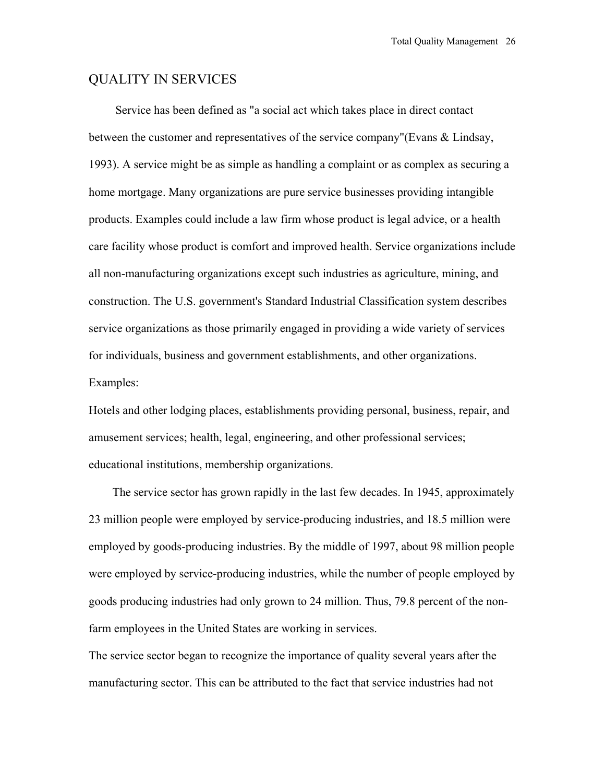# QUALITY IN SERVICES

 Service has been defined as "a social act which takes place in direct contact between the customer and representatives of the service company"(Evans & Lindsay, 1993). A service might be as simple as handling a complaint or as complex as securing a home mortgage. Many organizations are pure service businesses providing intangible products. Examples could include a law firm whose product is legal advice, or a health care facility whose product is comfort and improved health. Service organizations include all non-manufacturing organizations except such industries as agriculture, mining, and construction. The U.S. government's Standard Industrial Classification system describes service organizations as those primarily engaged in providing a wide variety of services for individuals, business and government establishments, and other organizations. Examples:

Hotels and other lodging places, establishments providing personal, business, repair, and amusement services; health, legal, engineering, and other professional services; educational institutions, membership organizations.

 The service sector has grown rapidly in the last few decades. In 1945, approximately 23 million people were employed by service-producing industries, and 18.5 million were employed by goods-producing industries. By the middle of 1997, about 98 million people were employed by service-producing industries, while the number of people employed by goods producing industries had only grown to 24 million. Thus, 79.8 percent of the nonfarm employees in the United States are working in services.

The service sector began to recognize the importance of quality several years after the manufacturing sector. This can be attributed to the fact that service industries had not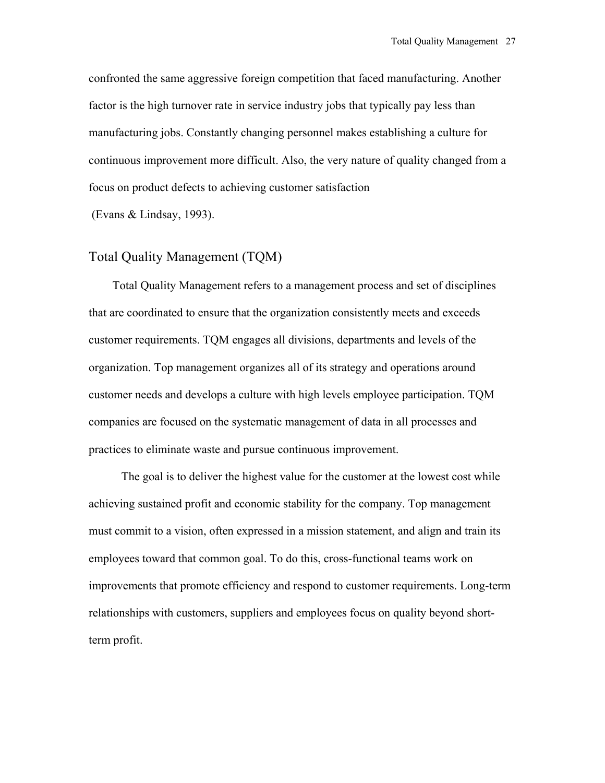confronted the same aggressive foreign competition that faced manufacturing. Another factor is the high turnover rate in service industry jobs that typically pay less than manufacturing jobs. Constantly changing personnel makes establishing a culture for continuous improvement more difficult. Also, the very nature of quality changed from a focus on product defects to achieving customer satisfaction

(Evans & Lindsay, 1993).

# Total Quality Management (TQM)

 Total Quality Management refers to a management process and set of disciplines that are coordinated to ensure that the organization consistently meets and exceeds customer requirements. TQM engages all divisions, departments and levels of the organization. Top management organizes all of its strategy and operations around customer needs and develops a culture with high levels employee participation. TQM companies are focused on the systematic management of data in all processes and practices to eliminate waste and pursue continuous improvement.

 The goal is to deliver the highest value for the customer at the lowest cost while achieving sustained profit and economic stability for the company. Top management must commit to a vision, often expressed in a mission statement, and align and train its employees toward that common goal. To do this, cross-functional teams work on improvements that promote efficiency and respond to customer requirements. Long-term relationships with customers, suppliers and employees focus on quality beyond shortterm profit.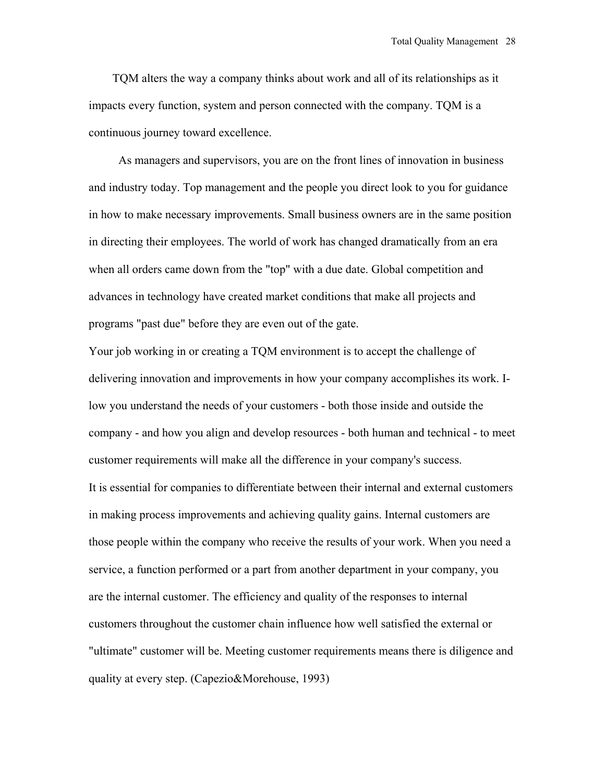TQM alters the way a company thinks about work and all of its relationships as it impacts every function, system and person connected with the company. TQM is a continuous journey toward excellence.

 As managers and supervisors, you are on the front lines of innovation in business and industry today. Top management and the people you direct look to you for guidance in how to make necessary improvements. Small business owners are in the same position in directing their employees. The world of work has changed dramatically from an era when all orders came down from the "top" with a due date. Global competition and advances in technology have created market conditions that make all projects and programs "past due" before they are even out of the gate.

Your job working in or creating a TQM environment is to accept the challenge of delivering innovation and improvements in how your company accomplishes its work. Ilow you understand the needs of your customers - both those inside and outside the company - and how you align and develop resources - both human and technical - to meet customer requirements will make all the difference in your company's success. It is essential for companies to differentiate between their internal and external customers in making process improvements and achieving quality gains. Internal customers are those people within the company who receive the results of your work. When you need a service, a function performed or a part from another department in your company, you are the internal customer. The efficiency and quality of the responses to internal customers throughout the customer chain influence how well satisfied the external or "ultimate" customer will be. Meeting customer requirements means there is diligence and quality at every step. (Capezio&Morehouse, 1993)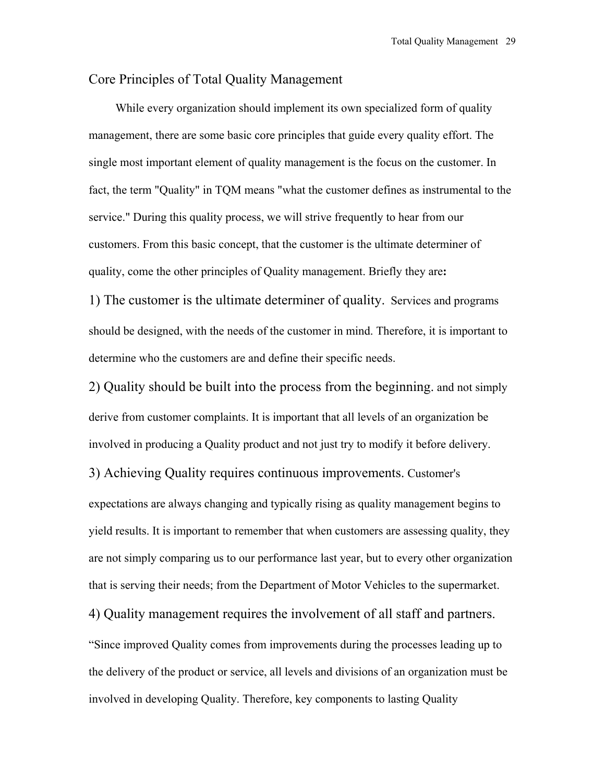# Core Principles of Total Quality Management

 While every organization should implement its own specialized form of quality management, there are some basic core principles that guide every quality effort. The single most important element of quality management is the focus on the customer. In fact, the term "Quality" in TQM means "what the customer defines as instrumental to the service." During this quality process, we will strive frequently to hear from our customers. From this basic concept, that the customer is the ultimate determiner of quality, come the other principles of Quality management. Briefly they are**:** 

1) The customer is the ultimate determiner of quality. Services and programs should be designed, with the needs of the customer in mind. Therefore, it is important to determine who the customers are and define their specific needs.

2) Quality should be built into the process from the beginning. and not simply derive from customer complaints. It is important that all levels of an organization be involved in producing a Quality product and not just try to modify it before delivery.

3) Achieving Quality requires continuous improvements. Customer's

expectations are always changing and typically rising as quality management begins to yield results. It is important to remember that when customers are assessing quality, they are not simply comparing us to our performance last year, but to every other organization that is serving their needs; from the Department of Motor Vehicles to the supermarket.

4) Quality management requires the involvement of all staff and partners.

"Since improved Quality comes from improvements during the processes leading up to the delivery of the product or service, all levels and divisions of an organization must be involved in developing Quality. Therefore, key components to lasting Quality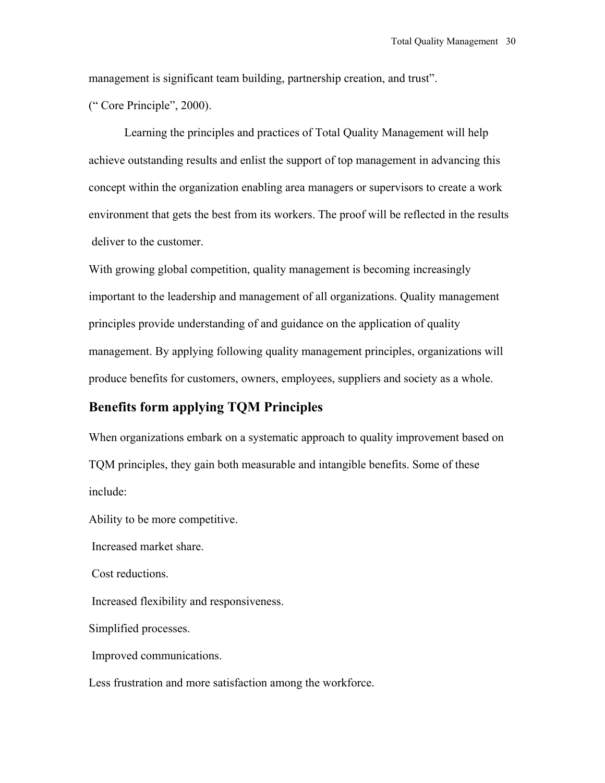management is significant team building, partnership creation, and trust".

(" Core Principle", 2000).

Learning the principles and practices of Total Quality Management will help achieve outstanding results and enlist the support of top management in advancing this concept within the organization enabling area managers or supervisors to create a work environment that gets the best from its workers. The proof will be reflected in the results deliver to the customer.

With growing global competition, quality management is becoming increasingly important to the leadership and management of all organizations. Quality management principles provide understanding of and guidance on the application of quality management. By applying following quality management principles, organizations will produce benefits for customers, owners, employees, suppliers and society as a whole.

### **Benefits form applying TQM Principles**

When organizations embark on a systematic approach to quality improvement based on TQM principles, they gain both measurable and intangible benefits. Some of these include:

Ability to be more competitive.

Increased market share.

Cost reductions.

Increased flexibility and responsiveness.

Simplified processes.

Improved communications.

Less frustration and more satisfaction among the workforce.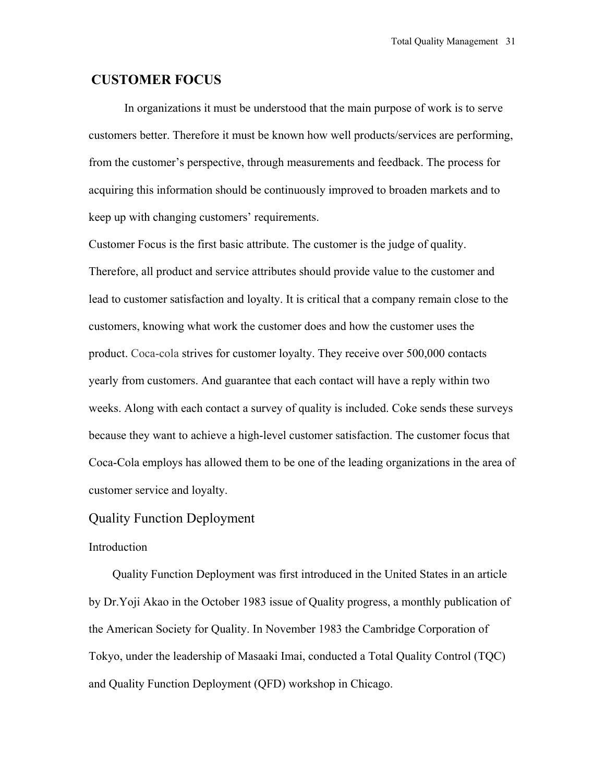## **CUSTOMER FOCUS**

 In organizations it must be understood that the main purpose of work is to serve customers better. Therefore it must be known how well products/services are performing, from the customer's perspective, through measurements and feedback. The process for acquiring this information should be continuously improved to broaden markets and to keep up with changing customers' requirements.

Customer Focus is the first basic attribute. The customer is the judge of quality. Therefore, all product and service attributes should provide value to the customer and lead to customer satisfaction and loyalty. It is critical that a company remain close to the customers, knowing what work the customer does and how the customer uses the product. Coca-cola strives for customer loyalty. They receive over 500,000 contacts yearly from customers. And guarantee that each contact will have a reply within two weeks. Along with each contact a survey of quality is included. Coke sends these surveys because they want to achieve a high-level customer satisfaction. The customer focus that Coca-Cola employs has allowed them to be one of the leading organizations in the area of customer service and loyalty.

## Quality Function Deployment

#### Introduction

 Quality Function Deployment was first introduced in the United States in an article by Dr.Yoji Akao in the October 1983 issue of Quality progress, a monthly publication of the American Society for Quality. In November 1983 the Cambridge Corporation of Tokyo, under the leadership of Masaaki Imai, conducted a Total Quality Control (TQC) and Quality Function Deployment (QFD) workshop in Chicago.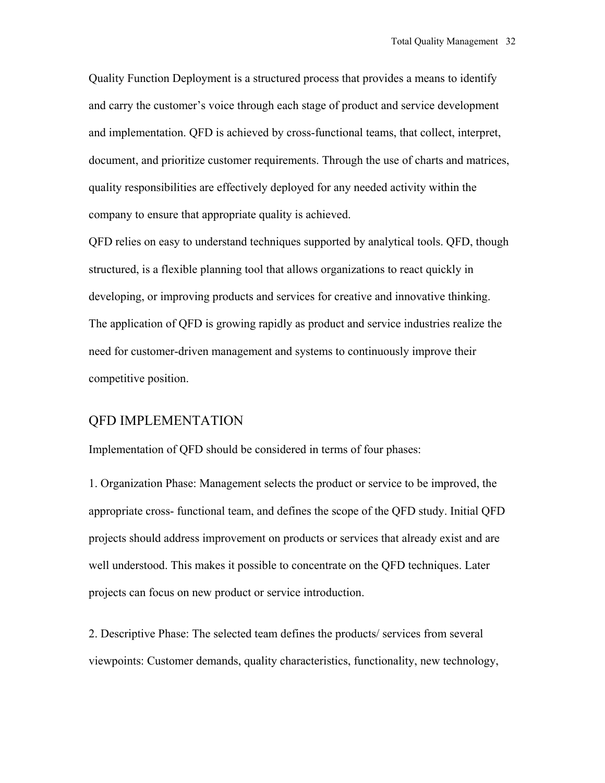Quality Function Deployment is a structured process that provides a means to identify and carry the customer's voice through each stage of product and service development and implementation. QFD is achieved by cross-functional teams, that collect, interpret, document, and prioritize customer requirements. Through the use of charts and matrices, quality responsibilities are effectively deployed for any needed activity within the company to ensure that appropriate quality is achieved.

QFD relies on easy to understand techniques supported by analytical tools. QFD, though structured, is a flexible planning tool that allows organizations to react quickly in developing, or improving products and services for creative and innovative thinking. The application of QFD is growing rapidly as product and service industries realize the need for customer-driven management and systems to continuously improve their competitive position.

#### QFD IMPLEMENTATION

Implementation of QFD should be considered in terms of four phases:

1. Organization Phase: Management selects the product or service to be improved, the appropriate cross- functional team, and defines the scope of the QFD study. Initial QFD projects should address improvement on products or services that already exist and are well understood. This makes it possible to concentrate on the QFD techniques. Later projects can focus on new product or service introduction.

2. Descriptive Phase: The selected team defines the products/ services from several viewpoints: Customer demands, quality characteristics, functionality, new technology,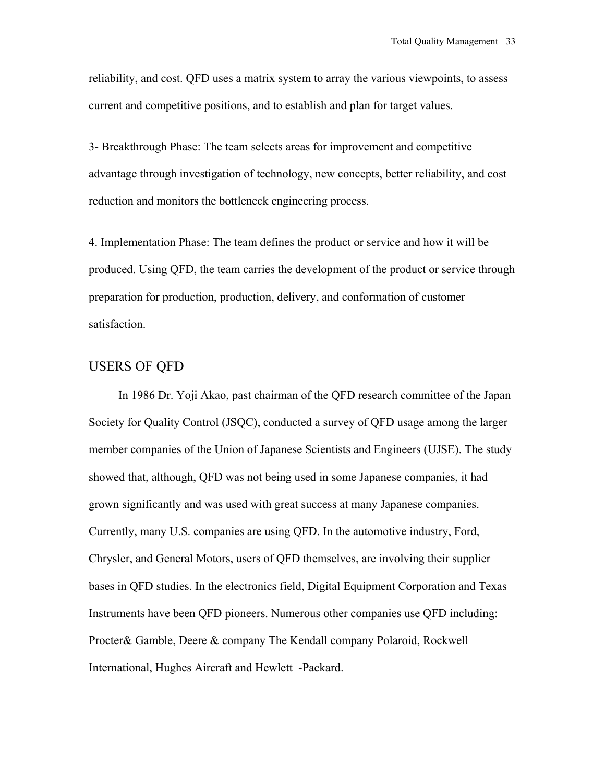reliability, and cost. QFD uses a matrix system to array the various viewpoints, to assess current and competitive positions, and to establish and plan for target values.

3- Breakthrough Phase: The team selects areas for improvement and competitive advantage through investigation of technology, new concepts, better reliability, and cost reduction and monitors the bottleneck engineering process.

4. Implementation Phase: The team defines the product or service and how it will be produced. Using QFD, the team carries the development of the product or service through preparation for production, production, delivery, and conformation of customer satisfaction.

## USERS OF QFD

 In 1986 Dr. Yoji Akao, past chairman of the QFD research committee of the Japan Society for Quality Control (JSQC), conducted a survey of QFD usage among the larger member companies of the Union of Japanese Scientists and Engineers (UJSE). The study showed that, although, QFD was not being used in some Japanese companies, it had grown significantly and was used with great success at many Japanese companies. Currently, many U.S. companies are using QFD. In the automotive industry, Ford, Chrysler, and General Motors, users of QFD themselves, are involving their supplier bases in QFD studies. In the electronics field, Digital Equipment Corporation and Texas Instruments have been QFD pioneers. Numerous other companies use QFD including: Procter& Gamble, Deere & company The Kendall company Polaroid, Rockwell International, Hughes Aircraft and Hewlett -Packard.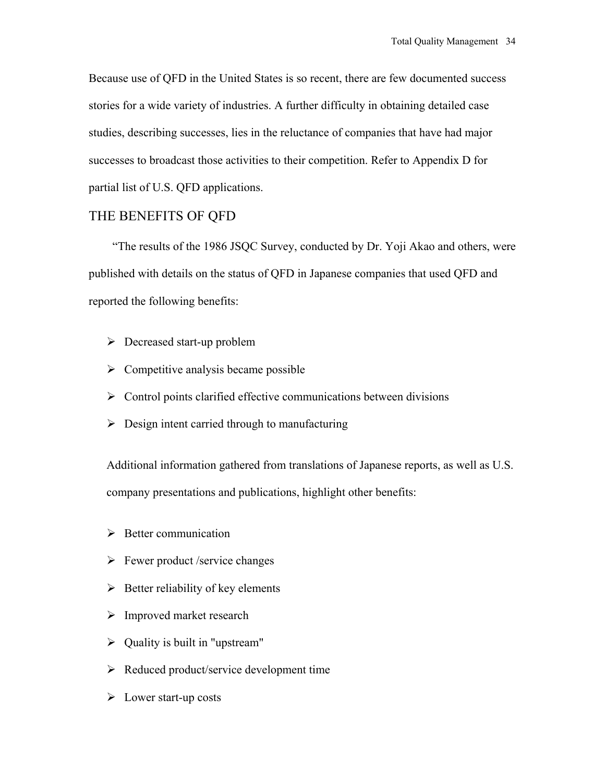Because use of QFD in the United States is so recent, there are few documented success stories for a wide variety of industries. A further difficulty in obtaining detailed case studies, describing successes, lies in the reluctance of companies that have had major successes to broadcast those activities to their competition. Refer to Appendix D for partial list of U.S. QFD applications.

## THE BENEFITS OF QFD

 "The results of the 1986 JSQC Survey, conducted by Dr. Yoji Akao and others, were published with details on the status of QFD in Japanese companies that used QFD and reported the following benefits:

- $\triangleright$  Decreased start-up problem
- $\triangleright$  Competitive analysis became possible
- $\triangleright$  Control points clarified effective communications between divisions
- $\triangleright$  Design intent carried through to manufacturing

Additional information gathered from translations of Japanese reports, as well as U.S. company presentations and publications, highlight other benefits:

- $\triangleright$  Better communication
- $\triangleright$  Fewer product /service changes
- $\triangleright$  Better reliability of key elements
- $\triangleright$  Improved market research
- $\triangleright$  Quality is built in "upstream"
- $\triangleright$  Reduced product/service development time
- $\triangleright$  Lower start-up costs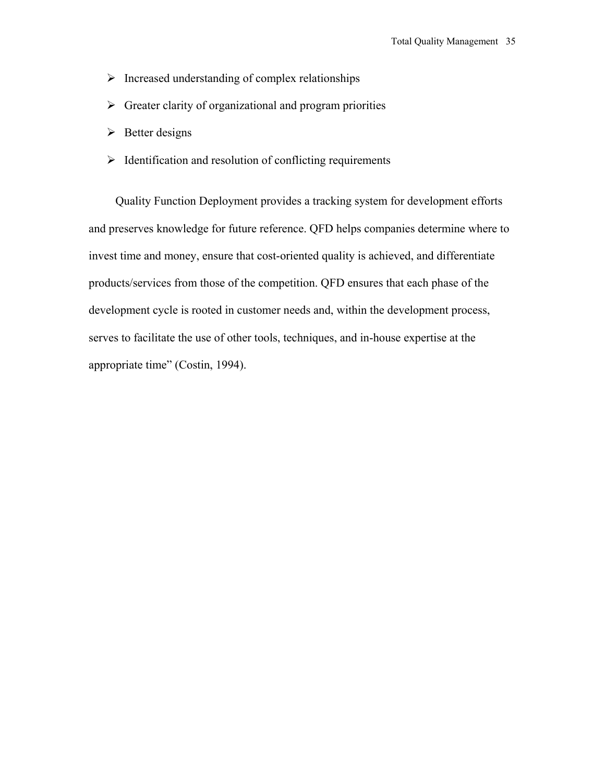- $\triangleright$  Increased understanding of complex relationships
- $\triangleright$  Greater clarity of organizational and program priorities
- $\triangleright$  Better designs
- $\triangleright$  Identification and resolution of conflicting requirements

 Quality Function Deployment provides a tracking system for development efforts and preserves knowledge for future reference. QFD helps companies determine where to invest time and money, ensure that cost-oriented quality is achieved, and differentiate products/services from those of the competition. QFD ensures that each phase of the development cycle is rooted in customer needs and, within the development process, serves to facilitate the use of other tools, techniques, and in-house expertise at the appropriate time" (Costin, 1994).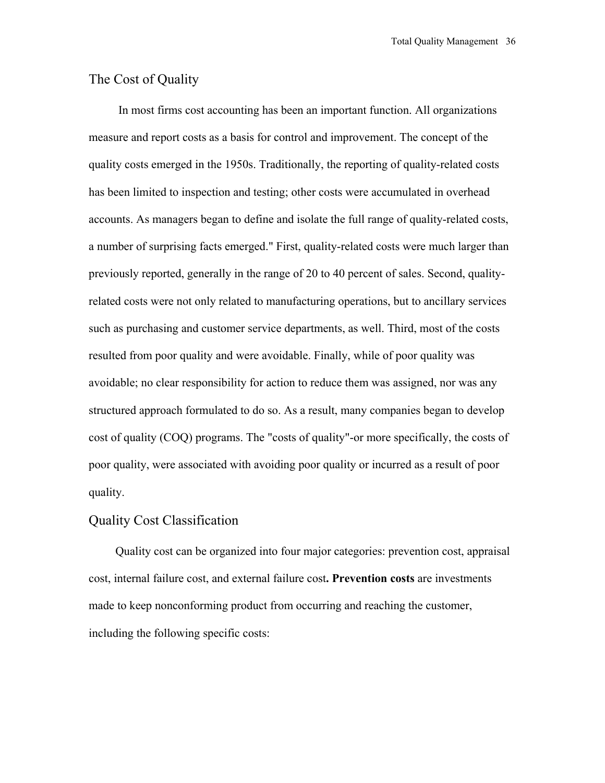# The Cost of Quality

 In most firms cost accounting has been an important function. All organizations measure and report costs as a basis for control and improvement. The concept of the quality costs emerged in the 1950s. Traditionally, the reporting of quality-related costs has been limited to inspection and testing; other costs were accumulated in overhead accounts. As managers began to define and isolate the full range of quality-related costs, a number of surprising facts emerged." First, quality-related costs were much larger than previously reported, generally in the range of 20 to 40 percent of sales. Second, qualityrelated costs were not only related to manufacturing operations, but to ancillary services such as purchasing and customer service departments, as well. Third, most of the costs resulted from poor quality and were avoidable. Finally, while of poor quality was avoidable; no clear responsibility for action to reduce them was assigned, nor was any structured approach formulated to do so. As a result, many companies began to develop cost of quality (COQ) programs. The "costs of quality"-or more specifically, the costs of poor quality, were associated with avoiding poor quality or incurred as a result of poor quality.

# Quality Cost Classification

 Quality cost can be organized into four major categories: prevention cost, appraisal cost, internal failure cost, and external failure cost**. Prevention costs** are investments made to keep nonconforming product from occurring and reaching the customer, including the following specific costs: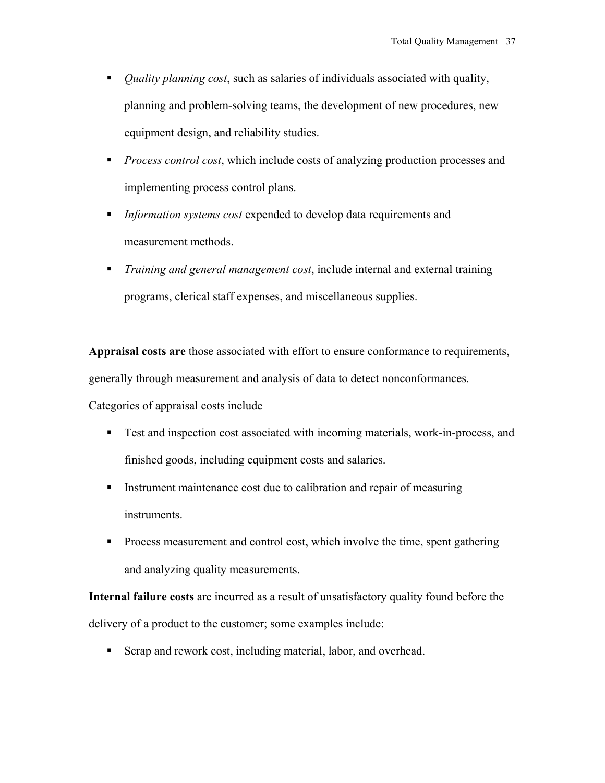- *Quality planning cost*, such as salaries of individuals associated with quality, planning and problem-solving teams, the development of new procedures, new equipment design, and reliability studies.
- *Process control cost*, which include costs of analyzing production processes and implementing process control plans.
- *Information systems cost* expended to develop data requirements and measurement methods.
- *Training and general management cost*, include internal and external training programs, clerical staff expenses, and miscellaneous supplies.

**Appraisal costs are** those associated with effort to ensure conformance to requirements, generally through measurement and analysis of data to detect nonconformances.

Categories of appraisal costs include

- Test and inspection cost associated with incoming materials, work-in-process, and finished goods, including equipment costs and salaries.
- Instrument maintenance cost due to calibration and repair of measuring instruments.
- **Process measurement and control cost, which involve the time, spent gathering** and analyzing quality measurements.

**Internal failure costs** are incurred as a result of unsatisfactory quality found before the delivery of a product to the customer; some examples include:

Scrap and rework cost, including material, labor, and overhead.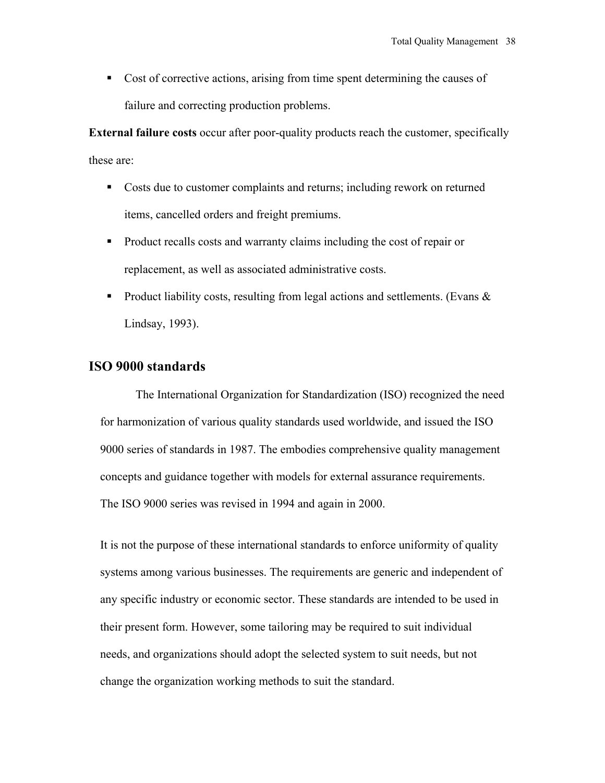• Cost of corrective actions, arising from time spent determining the causes of failure and correcting production problems.

**External failure costs** occur after poor-quality products reach the customer, specifically these are:

- Costs due to customer complaints and returns; including rework on returned items, cancelled orders and freight premiums.
- Product recalls costs and warranty claims including the cost of repair or replacement, as well as associated administrative costs.
- Product liability costs, resulting from legal actions and settlements. (Evans  $\&$ Lindsay, 1993).

## **ISO 9000 standards**

 The International Organization for Standardization (ISO) recognized the need for harmonization of various quality standards used worldwide, and issued the ISO 9000 series of standards in 1987. The embodies comprehensive quality management concepts and guidance together with models for external assurance requirements. The ISO 9000 series was revised in 1994 and again in 2000.

It is not the purpose of these international standards to enforce uniformity of quality systems among various businesses. The requirements are generic and independent of any specific industry or economic sector. These standards are intended to be used in their present form. However, some tailoring may be required to suit individual needs, and organizations should adopt the selected system to suit needs, but not change the organization working methods to suit the standard.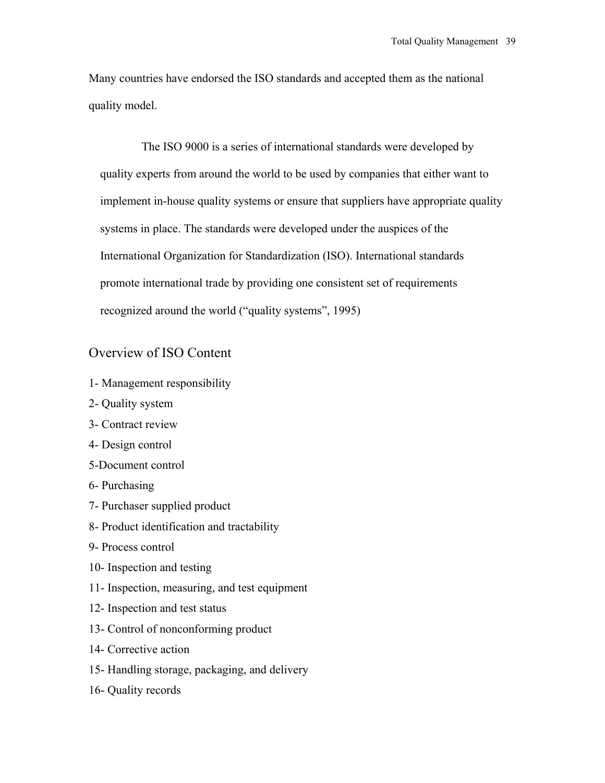Many countries have endorsed the ISO standards and accepted them as the national quality model.

 The ISO 9000 is a series of international standards were developed by quality experts from around the world to be used by companies that either want to implement in-house quality systems or ensure that suppliers have appropriate quality systems in place. The standards were developed under the auspices of the International Organization for Standardization (ISO). International standards promote international trade by providing one consistent set of requirements recognized around the world ("quality systems", 1995)

## Overview of ISO Content

- 1- Management responsibility
- 2- Quality system
- 3- Contract review
- 4- Design control
- 5-Document control
- 6- Purchasing
- 7- Purchaser supplied product
- 8- Product identification and tractability
- 9- Process control
- 10- Inspection and testing
- 11- Inspection, measuring, and test equipment
- 12- Inspection and test status
- 13- Control of nonconforming product
- 14- Corrective action
- 15- Handling storage, packaging, and delivery
- 16- Quality records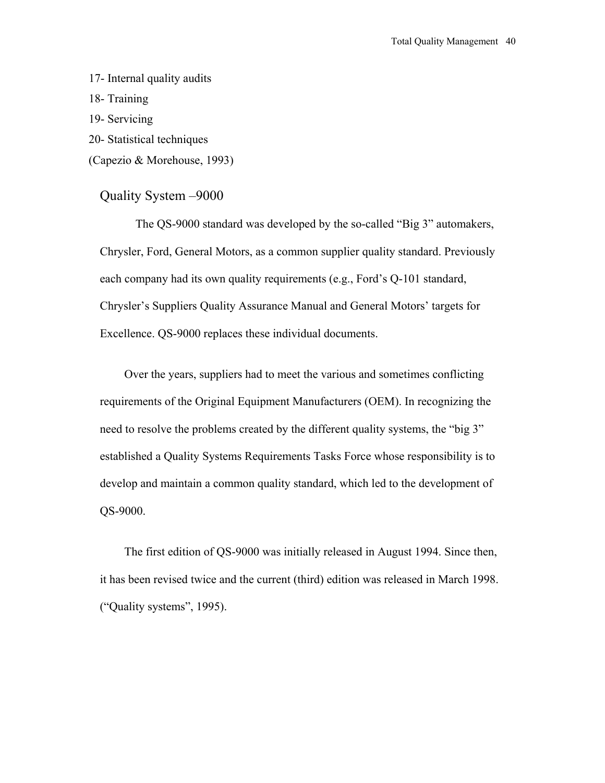17- Internal quality audits 18- Training 19- Servicing 20- Statistical techniques (Capezio & Morehouse, 1993)

## Quality System –9000

 The QS-9000 standard was developed by the so-called "Big 3" automakers, Chrysler, Ford, General Motors, as a common supplier quality standard. Previously each company had its own quality requirements (e.g., Ford's Q-101 standard, Chrysler's Suppliers Quality Assurance Manual and General Motors' targets for Excellence. QS-9000 replaces these individual documents.

Over the years, suppliers had to meet the various and sometimes conflicting requirements of the Original Equipment Manufacturers (OEM). In recognizing the need to resolve the problems created by the different quality systems, the "big 3" established a Quality Systems Requirements Tasks Force whose responsibility is to develop and maintain a common quality standard, which led to the development of QS-9000.

The first edition of QS-9000 was initially released in August 1994. Since then, it has been revised twice and the current (third) edition was released in March 1998. ("Quality systems", 1995).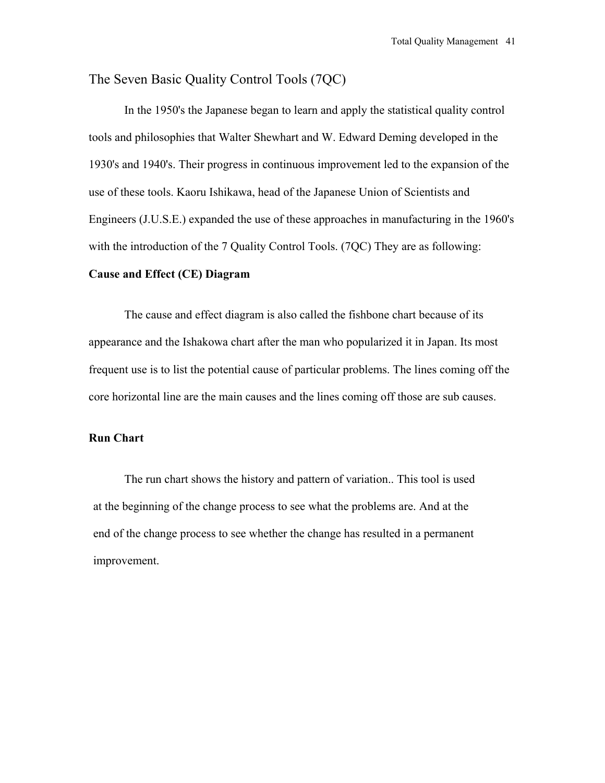## The Seven Basic Quality Control Tools (7QC)

 In the 1950's the Japanese began to learn and apply the statistical quality control tools and philosophies that Walter Shewhart and W. Edward Deming developed in the 1930's and 1940's. Their progress in continuous improvement led to the expansion of the use of these tools. Kaoru Ishikawa, head of the Japanese Union of Scientists and Engineers (J.U.S.E.) expanded the use of these approaches in manufacturing in the 1960's with the introduction of the 7 Quality Control Tools. (7QC) They are as following:

## **Cause and Effect (CE) Diagram**

 The cause and effect diagram is also called the fishbone chart because of its appearance and the Ishakowa chart after the man who popularized it in Japan. Its most frequent use is to list the potential cause of particular problems. The lines coming off the core horizontal line are the main causes and the lines coming off those are sub causes.

## **Run Chart**

The run chart shows the history and pattern of variation.. This tool is used at the beginning of the change process to see what the problems are. And at the end of the change process to see whether the change has resulted in a permanent improvement.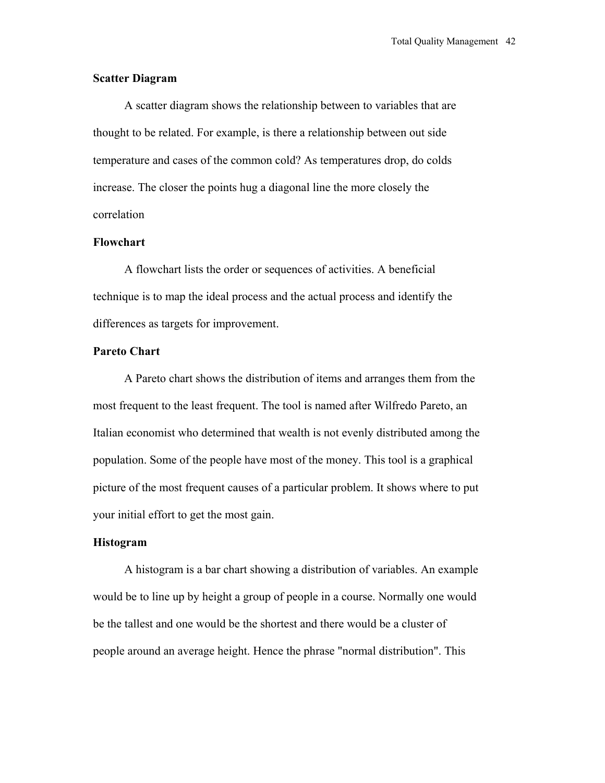#### **Scatter Diagram**

A scatter diagram shows the relationship between to variables that are thought to be related. For example, is there a relationship between out side temperature and cases of the common cold? As temperatures drop, do colds increase. The closer the points hug a diagonal line the more closely the correlation

#### **Flowchart**

A flowchart lists the order or sequences of activities. A beneficial technique is to map the ideal process and the actual process and identify the differences as targets for improvement.

#### **Pareto Chart**

A Pareto chart shows the distribution of items and arranges them from the most frequent to the least frequent. The tool is named after Wilfredo Pareto, an Italian economist who determined that wealth is not evenly distributed among the population. Some of the people have most of the money. This tool is a graphical picture of the most frequent causes of a particular problem. It shows where to put your initial effort to get the most gain.

#### **Histogram**

A histogram is a bar chart showing a distribution of variables. An example would be to line up by height a group of people in a course. Normally one would be the tallest and one would be the shortest and there would be a cluster of people around an average height. Hence the phrase "normal distribution". This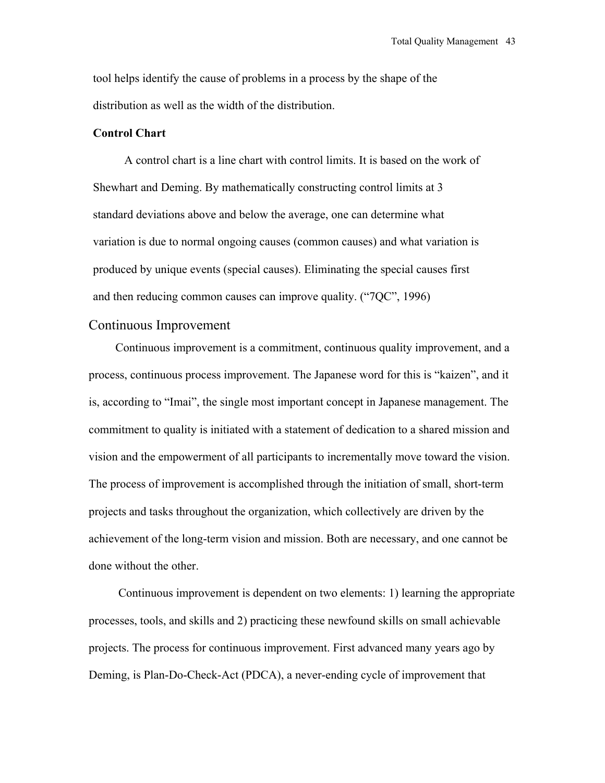tool helps identify the cause of problems in a process by the shape of the distribution as well as the width of the distribution.

#### **Control Chart**

A control chart is a line chart with control limits. It is based on the work of Shewhart and Deming. By mathematically constructing control limits at 3 standard deviations above and below the average, one can determine what variation is due to normal ongoing causes (common causes) and what variation is produced by unique events (special causes). Eliminating the special causes first and then reducing common causes can improve quality. ("7QC", 1996)

## Continuous Improvement

 Continuous improvement is a commitment, continuous quality improvement, and a process, continuous process improvement. The Japanese word for this is "kaizen", and it is, according to "Imai", the single most important concept in Japanese management. The commitment to quality is initiated with a statement of dedication to a shared mission and vision and the empowerment of all participants to incrementally move toward the vision. The process of improvement is accomplished through the initiation of small, short-term projects and tasks throughout the organization, which collectively are driven by the achievement of the long-term vision and mission. Both are necessary, and one cannot be done without the other.

 Continuous improvement is dependent on two elements: 1) learning the appropriate processes, tools, and skills and 2) practicing these newfound skills on small achievable projects. The process for continuous improvement. First advanced many years ago by Deming, is Plan-Do-Check-Act (PDCA), a never-ending cycle of improvement that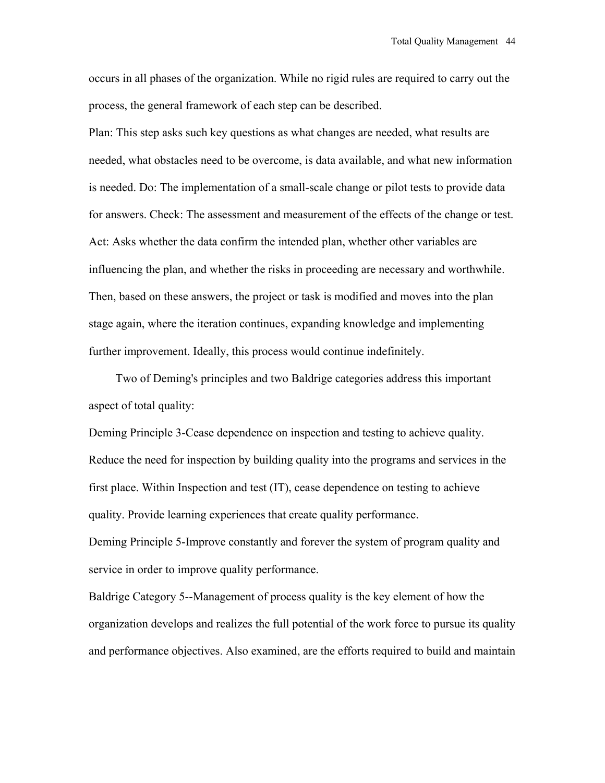occurs in all phases of the organization. While no rigid rules are required to carry out the process, the general framework of each step can be described.

Plan: This step asks such key questions as what changes are needed, what results are needed, what obstacles need to be overcome, is data available, and what new information is needed. Do: The implementation of a small-scale change or pilot tests to provide data for answers. Check: The assessment and measurement of the effects of the change or test. Act: Asks whether the data confirm the intended plan, whether other variables are influencing the plan, and whether the risks in proceeding are necessary and worthwhile. Then, based on these answers, the project or task is modified and moves into the plan stage again, where the iteration continues, expanding knowledge and implementing further improvement. Ideally, this process would continue indefinitely.

 Two of Deming's principles and two Baldrige categories address this important aspect of total quality:

Deming Principle 3-Cease dependence on inspection and testing to achieve quality. Reduce the need for inspection by building quality into the programs and services in the first place. Within Inspection and test (IT), cease dependence on testing to achieve quality. Provide learning experiences that create quality performance.

Deming Principle 5-Improve constantly and forever the system of program quality and service in order to improve quality performance.

Baldrige Category 5--Management of process quality is the key element of how the organization develops and realizes the full potential of the work force to pursue its quality and performance objectives. Also examined, are the efforts required to build and maintain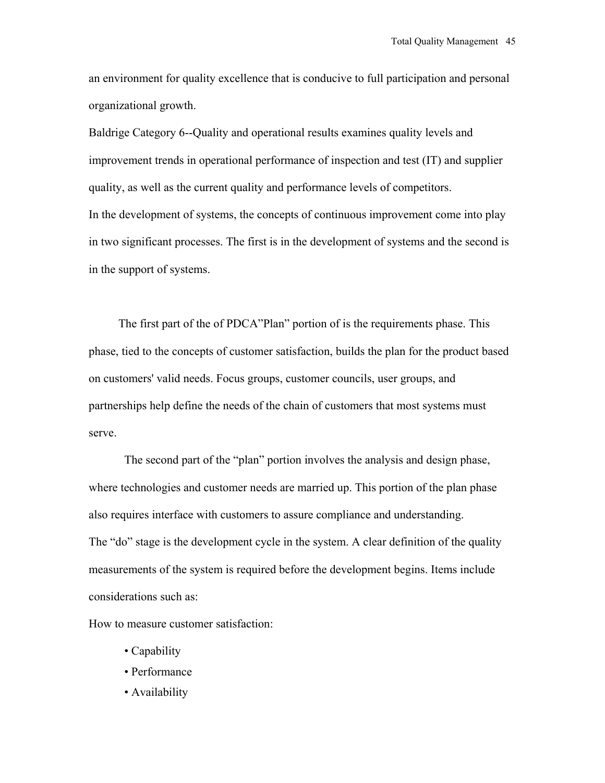an environment for quality excellence that is conducive to full participation and personal organizational growth.

Baldrige Category 6--Quality and operational results examines quality levels and improvement trends in operational performance of inspection and test (IT) and supplier quality, as well as the current quality and performance levels of competitors. In the development of systems, the concepts of continuous improvement come into play in two significant processes. The first is in the development of systems and the second is in the support of systems.

 The first part of the of PDCA"Plan" portion of is the requirements phase. This phase, tied to the concepts of customer satisfaction, builds the plan for the product based on customers' valid needs. Focus groups, customer councils, user groups, and partnerships help define the needs of the chain of customers that most systems must serve.

The second part of the "plan" portion involves the analysis and design phase, where technologies and customer needs are married up. This portion of the plan phase also requires interface with customers to assure compliance and understanding. The "do" stage is the development cycle in the system. A clear definition of the quality measurements of the system is required before the development begins. Items include considerations such as:

How to measure customer satisfaction:

- Capability
- Performance
- Availability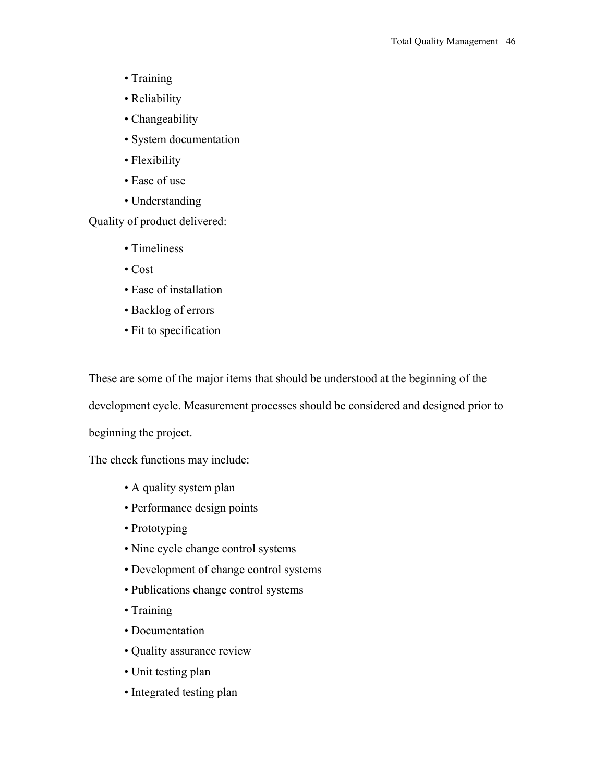- Training
- Reliability
- Changeability
- System documentation
- Flexibility
- Ease of use
- Understanding

Quality of product delivered:

- Timeliness
- Cost
- Ease of installation
- Backlog of errors
- Fit to specification

These are some of the major items that should be understood at the beginning of the

development cycle. Measurement processes should be considered and designed prior to

beginning the project.

The check functions may include:

- A quality system plan
- Performance design points
- Prototyping
- Nine cycle change control systems
- Development of change control systems
- Publications change control systems
- Training
- Documentation
- Quality assurance review
- Unit testing plan
- Integrated testing plan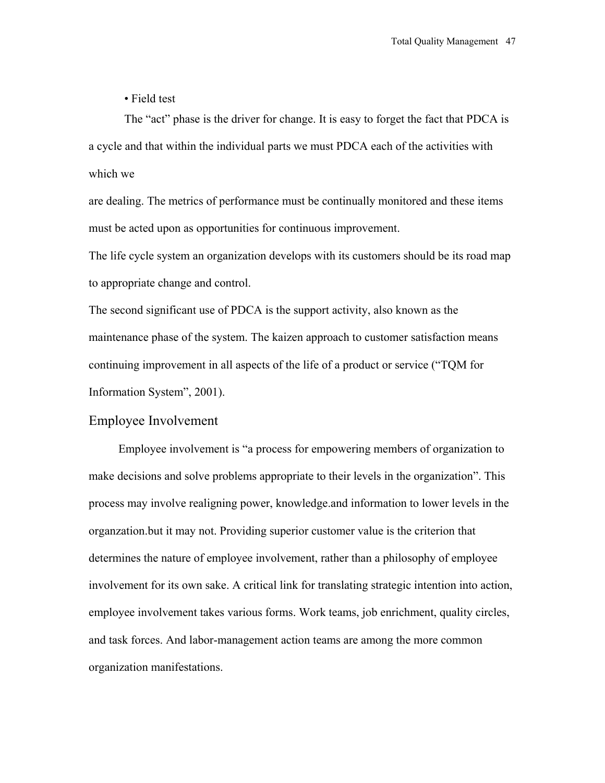• Field test

The "act" phase is the driver for change. It is easy to forget the fact that PDCA is a cycle and that within the individual parts we must PDCA each of the activities with which we

are dealing. The metrics of performance must be continually monitored and these items must be acted upon as opportunities for continuous improvement.

The life cycle system an organization develops with its customers should be its road map to appropriate change and control.

The second significant use of PDCA is the support activity, also known as the maintenance phase of the system. The kaizen approach to customer satisfaction means continuing improvement in all aspects of the life of a product or service ("TQM for Information System", 2001).

## Employee Involvement

 Employee involvement is "a process for empowering members of organization to make decisions and solve problems appropriate to their levels in the organization". This process may involve realigning power, knowledge.and information to lower levels in the organzation.but it may not. Providing superior customer value is the criterion that determines the nature of employee involvement, rather than a philosophy of employee involvement for its own sake. A critical link for translating strategic intention into action, employee involvement takes various forms. Work teams, job enrichment, quality circles, and task forces. And labor-management action teams are among the more common organization manifestations.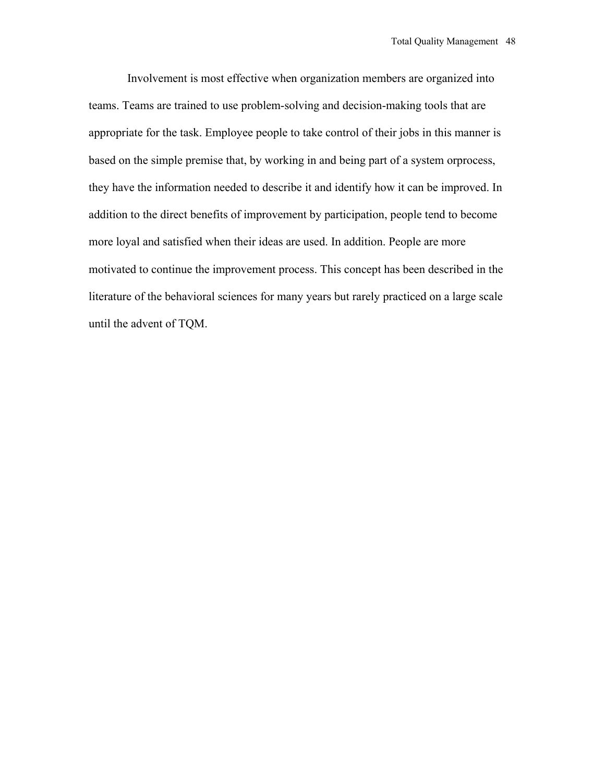Involvement is most effective when organization members are organized into teams. Teams are trained to use problem-solving and decision-making tools that are appropriate for the task. Employee people to take control of their jobs in this manner is based on the simple premise that, by working in and being part of a system orprocess, they have the information needed to describe it and identify how it can be improved. In addition to the direct benefits of improvement by participation, people tend to become more loyal and satisfied when their ideas are used. In addition. People are more motivated to continue the improvement process. This concept has been described in the literature of the behavioral sciences for many years but rarely practiced on a large scale until the advent of TQM.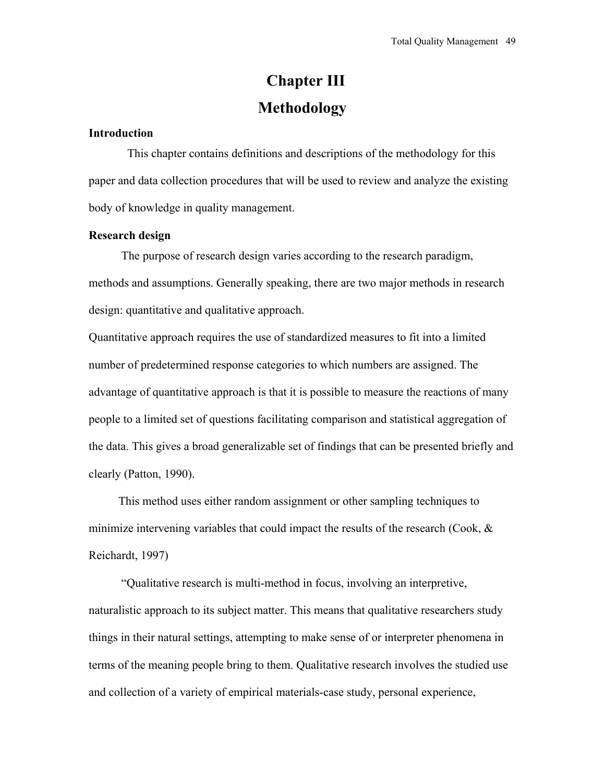# **Chapter III Methodology**

## **Introduction**

 This chapter contains definitions and descriptions of the methodology for this paper and data collection procedures that will be used to review and analyze the existing body of knowledge in quality management.

#### **Research design**

The purpose of research design varies according to the research paradigm, methods and assumptions. Generally speaking, there are two major methods in research design: quantitative and qualitative approach.

Quantitative approach requires the use of standardized measures to fit into a limited number of predetermined response categories to which numbers are assigned. The advantage of quantitative approach is that it is possible to measure the reactions of many people to a limited set of questions facilitating comparison and statistical aggregation of the data. This gives a broad generalizable set of findings that can be presented briefly and clearly (Patton, 1990).

 This method uses either random assignment or other sampling techniques to minimize intervening variables that could impact the results of the research (Cook,  $\&$ Reichardt, 1997)

 "Qualitative research is multi-method in focus, involving an interpretive, naturalistic approach to its subject matter. This means that qualitative researchers study things in their natural settings, attempting to make sense of or interpreter phenomena in terms of the meaning people bring to them. Qualitative research involves the studied use and collection of a variety of empirical materials-case study, personal experience,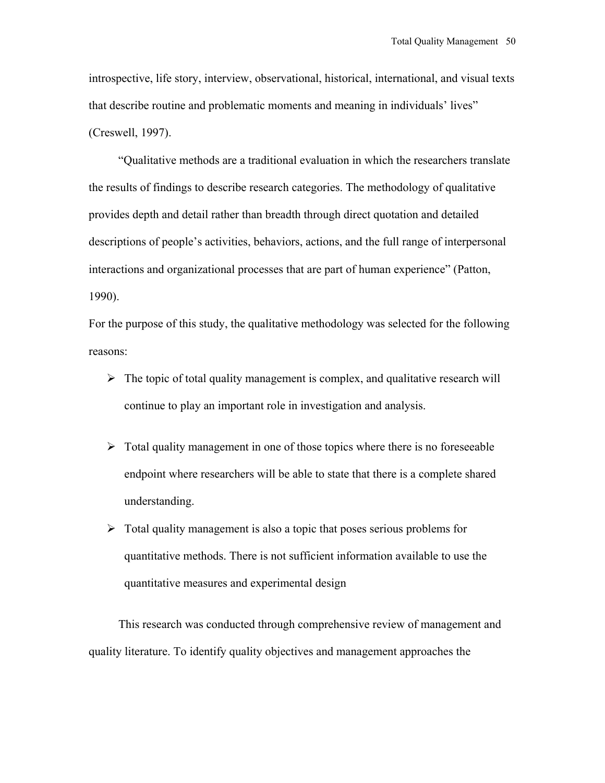introspective, life story, interview, observational, historical, international, and visual texts that describe routine and problematic moments and meaning in individuals' lives" (Creswell, 1997).

 "Qualitative methods are a traditional evaluation in which the researchers translate the results of findings to describe research categories. The methodology of qualitative provides depth and detail rather than breadth through direct quotation and detailed descriptions of people's activities, behaviors, actions, and the full range of interpersonal interactions and organizational processes that are part of human experience" (Patton, 1990).

For the purpose of this study, the qualitative methodology was selected for the following reasons:

- $\triangleright$  The topic of total quality management is complex, and qualitative research will continue to play an important role in investigation and analysis.
- $\triangleright$  Total quality management in one of those topics where there is no foreseeable endpoint where researchers will be able to state that there is a complete shared understanding.
- $\triangleright$  Total quality management is also a topic that poses serious problems for quantitative methods. There is not sufficient information available to use the quantitative measures and experimental design

 This research was conducted through comprehensive review of management and quality literature. To identify quality objectives and management approaches the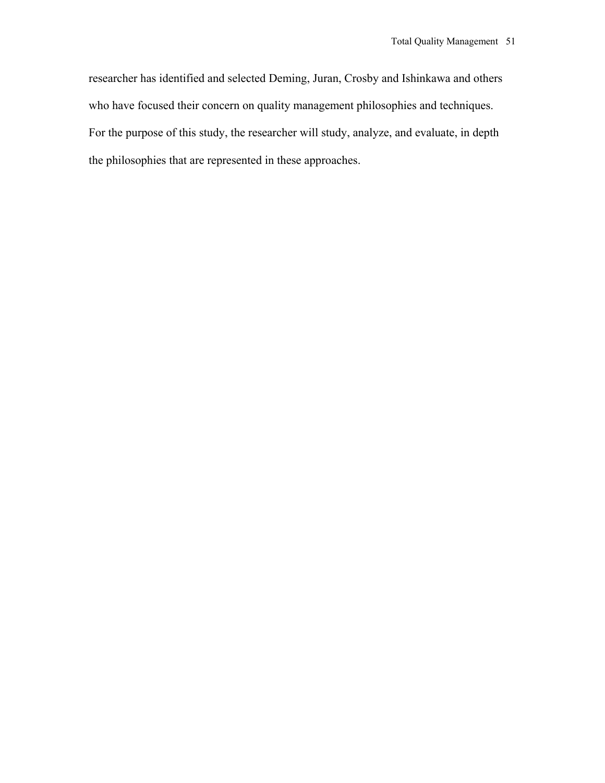researcher has identified and selected Deming, Juran, Crosby and Ishinkawa and others who have focused their concern on quality management philosophies and techniques. For the purpose of this study, the researcher will study, analyze, and evaluate, in depth the philosophies that are represented in these approaches.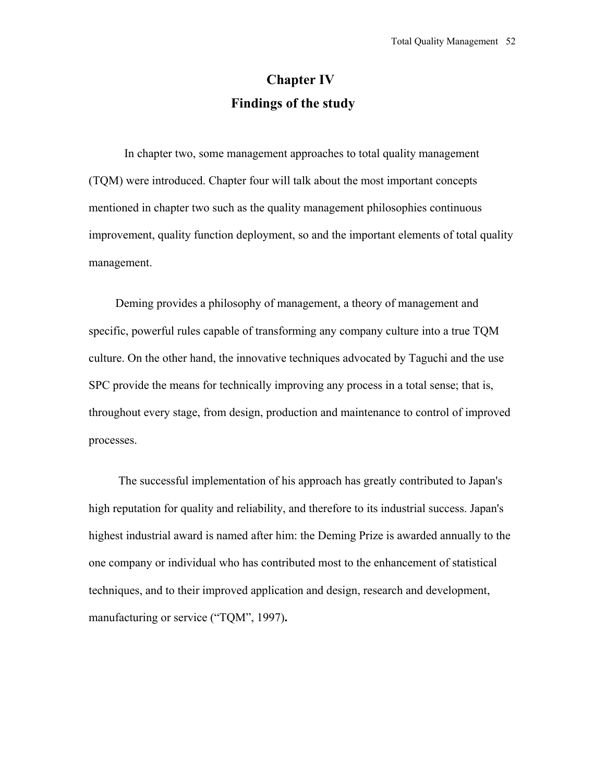## **Chapter IV Findings of the study**

In chapter two, some management approaches to total quality management (TQM) were introduced. Chapter four will talk about the most important concepts mentioned in chapter two such as the quality management philosophies continuous improvement, quality function deployment, so and the important elements of total quality management.

Deming provides a philosophy of management, a theory of management and specific, powerful rules capable of transforming any company culture into a true TQM culture. On the other hand, the innovative techniques advocated by Taguchi and the use SPC provide the means for technically improving any process in a total sense; that is, throughout every stage, from design, production and maintenance to control of improved processes.

 The successful implementation of his approach has greatly contributed to Japan's high reputation for quality and reliability, and therefore to its industrial success. Japan's highest industrial award is named after him: the Deming Prize is awarded annually to the one company or individual who has contributed most to the enhancement of statistical techniques, and to their improved application and design, research and development, manufacturing or service ("TQM", 1997)**.**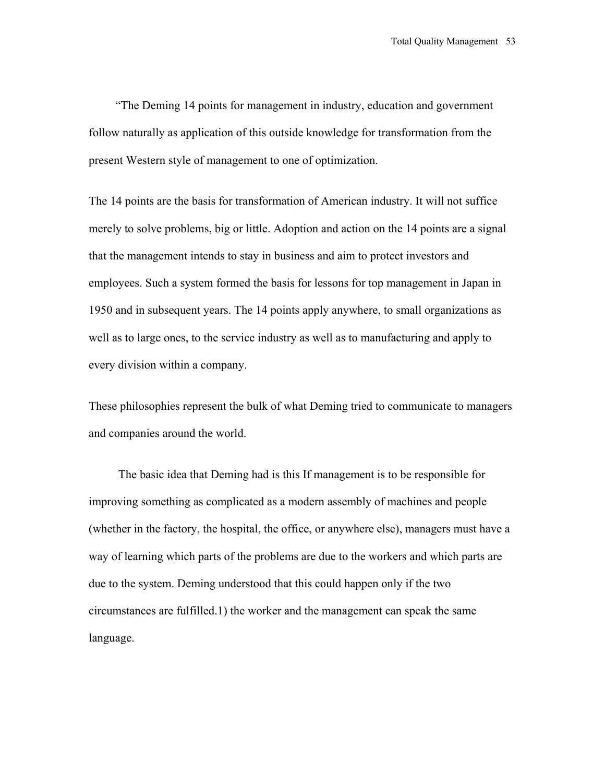"The Deming 14 points for management in industry, education and government follow naturally as application of this outside knowledge for transformation from the present Western style of management to one of optimization.

The 14 points are the basis for transformation of American industry. It will not suffice merely to solve problems, big or little. Adoption and action on the 14 points are a signal that the management intends to stay in business and aim to protect investors and employees. Such a system formed the basis for lessons for top management in Japan in 1950 and in subsequent years. The 14 points apply anywhere, to small organizations as well as to large ones, to the service industry as well as to manufacturing and apply to every division within a company.

These philosophies represent the bulk of what Deming tried to communicate to managers and companies around the world.

 The basic idea that Deming had is this If management is to be responsible for improving something as complicated as a modern assembly of machines and people (whether in the factory, the hospital, the office, or anywhere else), managers must have a way of learning which parts of the problems are due to the workers and which parts are due to the system. Deming understood that this could happen only if the two circumstances are fulfilled.1) the worker and the management can speak the same language.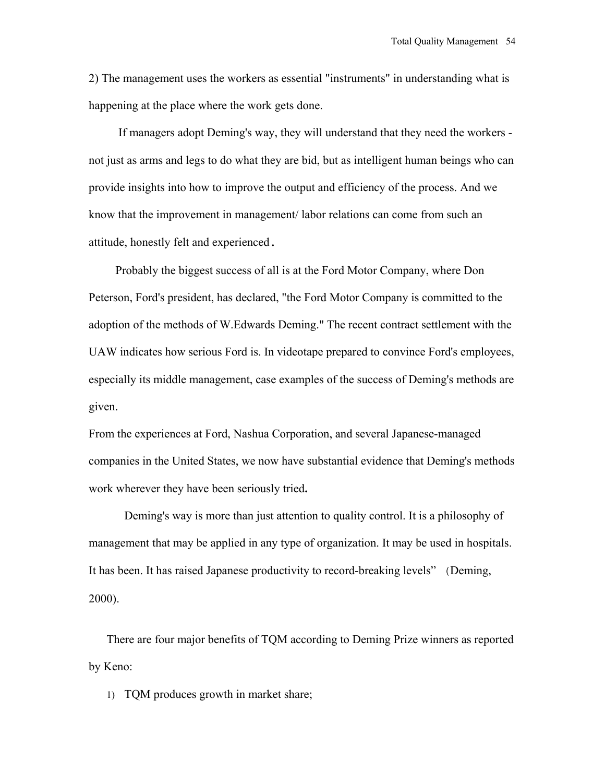2) The management uses the workers as essential "instruments" in understanding what is happening at the place where the work gets done.

 If managers adopt Deming's way, they will understand that they need the workers not just as arms and legs to do what they are bid, but as intelligent human beings who can provide insights into how to improve the output and efficiency of the process. And we know that the improvement in management/ labor relations can come from such an attitude, honestly felt and experienced.

 Probably the biggest success of all is at the Ford Motor Company, where Don Peterson, Ford's president, has declared, "the Ford Motor Company is committed to the adoption of the methods of W.Edwards Deming." The recent contract settlement with the UAW indicates how serious Ford is. In videotape prepared to convince Ford's employees, especially its middle management, case examples of the success of Deming's methods are given.

From the experiences at Ford, Nashua Corporation, and several Japanese-managed companies in the United States, we now have substantial evidence that Deming's methods work wherever they have been seriously tried**.**

 Deming's way is more than just attention to quality control. It is a philosophy of management that may be applied in any type of organization. It may be used in hospitals. It has been. It has raised Japanese productivity to record-breaking levels" (Deming, 2000).

 There are four major benefits of TQM according to Deming Prize winners as reported by Keno:

1) TQM produces growth in market share;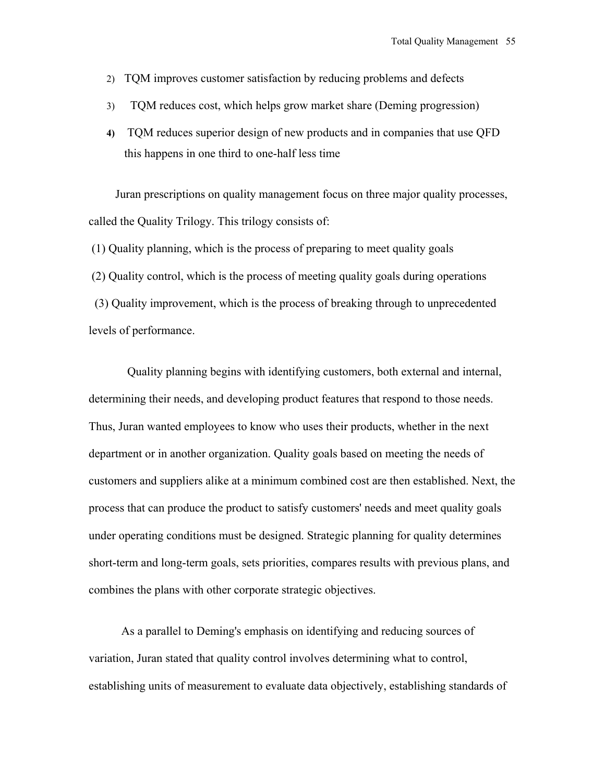- 2) TQM improves customer satisfaction by reducing problems and defects
- 3) TQM reduces cost, which helps grow market share (Deming progression)
- **4)** TQM reduces superior design of new products and in companies that use QFD this happens in one third to one-half less time

 Juran prescriptions on quality management focus on three major quality processes, called the Quality Trilogy. This trilogy consists of:

(1) Quality planning, which is the process of preparing to meet quality goals

(2) Quality control, which is the process of meeting quality goals during operations

(3) Quality improvement, which is the process of breaking through to unprecedented levels of performance.

 Quality planning begins with identifying customers, both external and internal, determining their needs, and developing product features that respond to those needs. Thus, Juran wanted employees to know who uses their products, whether in the next department or in another organization. Quality goals based on meeting the needs of customers and suppliers alike at a minimum combined cost are then established. Next, the process that can produce the product to satisfy customers' needs and meet quality goals under operating conditions must be designed. Strategic planning for quality determines short-term and long-term goals, sets priorities, compares results with previous plans, and combines the plans with other corporate strategic objectives.

 As a parallel to Deming's emphasis on identifying and reducing sources of variation, Juran stated that quality control involves determining what to control, establishing units of measurement to evaluate data objectively, establishing standards of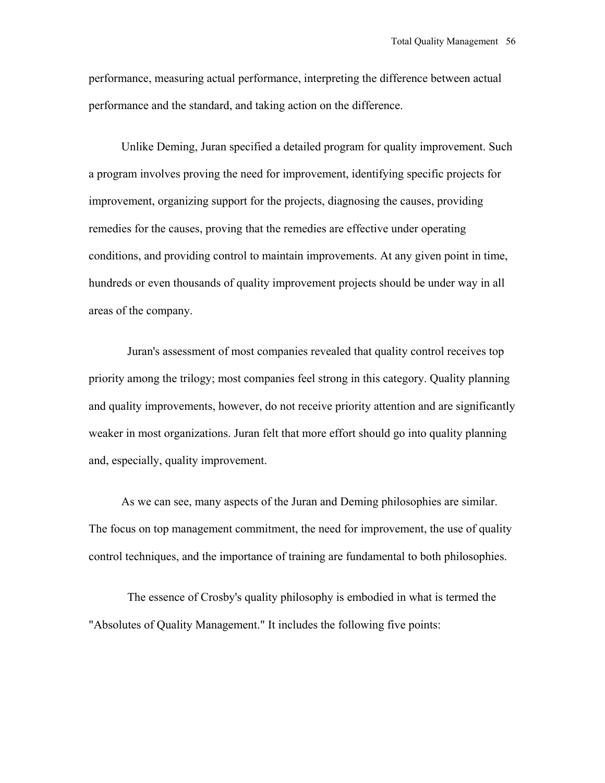performance, measuring actual performance, interpreting the difference between actual performance and the standard, and taking action on the difference.

 Unlike Deming, Juran specified a detailed program for quality improvement. Such a program involves proving the need for improvement, identifying specific projects for improvement, organizing support for the projects, diagnosing the causes, providing remedies for the causes, proving that the remedies are effective under operating conditions, and providing control to maintain improvements. At any given point in time, hundreds or even thousands of quality improvement projects should be under way in all areas of the company.

 Juran's assessment of most companies revealed that quality control receives top priority among the trilogy; most companies feel strong in this category. Quality planning and quality improvements, however, do not receive priority attention and are significantly weaker in most organizations. Juran felt that more effort should go into quality planning and, especially, quality improvement.

 As we can see, many aspects of the Juran and Deming philosophies are similar. The focus on top management commitment, the need for improvement, the use of quality control techniques, and the importance of training are fundamental to both philosophies.

 The essence of Crosby's quality philosophy is embodied in what is termed the "Absolutes of Quality Management." It includes the following five points: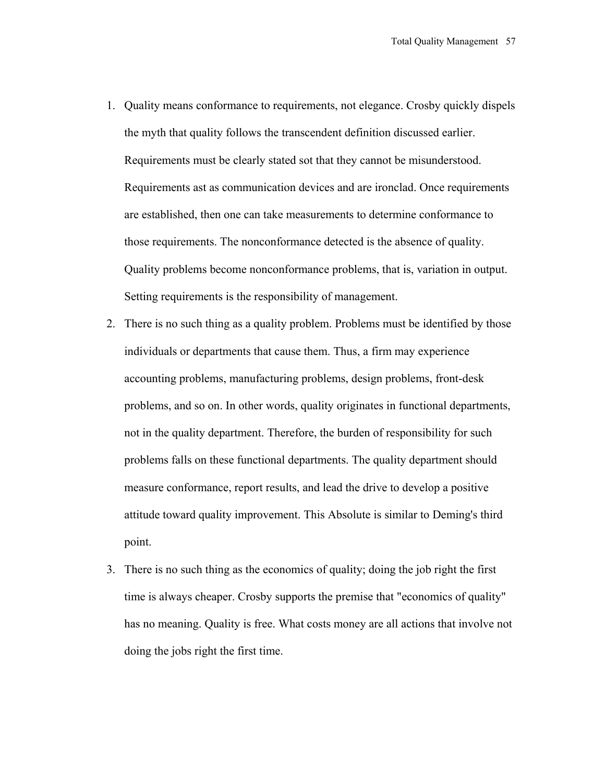- 1. Quality means conformance to requirements, not elegance. Crosby quickly dispels the myth that quality follows the transcendent definition discussed earlier. Requirements must be clearly stated sot that they cannot be misunderstood. Requirements ast as communication devices and are ironclad. Once requirements are established, then one can take measurements to determine conformance to those requirements. The nonconformance detected is the absence of quality. Quality problems become nonconformance problems, that is, variation in output. Setting requirements is the responsibility of management.
- 2. There is no such thing as a quality problem. Problems must be identified by those individuals or departments that cause them. Thus, a firm may experience accounting problems, manufacturing problems, design problems, front-desk problems, and so on. In other words, quality originates in functional departments, not in the quality department. Therefore, the burden of responsibility for such problems falls on these functional departments. The quality department should measure conformance, report results, and lead the drive to develop a positive attitude toward quality improvement. This Absolute is similar to Deming's third point.
- 3. There is no such thing as the economics of quality; doing the job right the first time is always cheaper. Crosby supports the premise that "economics of quality" has no meaning. Quality is free. What costs money are all actions that involve not doing the jobs right the first time.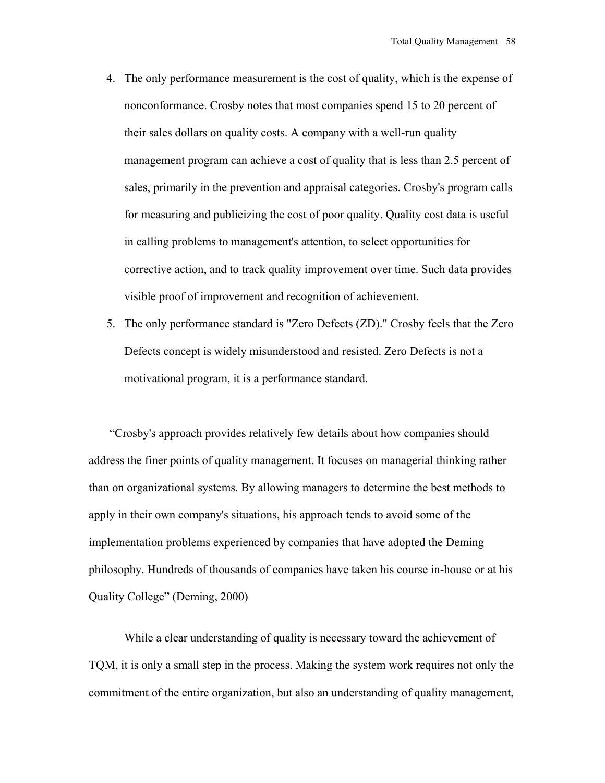- 4. The only performance measurement is the cost of quality, which is the expense of nonconformance. Crosby notes that most companies spend 15 to 20 percent of their sales dollars on quality costs. A company with a well-run quality management program can achieve a cost of quality that is less than 2.5 percent of sales, primarily in the prevention and appraisal categories. Crosby's program calls for measuring and publicizing the cost of poor quality. Quality cost data is useful in calling problems to management's attention, to select opportunities for corrective action, and to track quality improvement over time. Such data provides visible proof of improvement and recognition of achievement.
- 5. The only performance standard is "Zero Defects (ZD)." Crosby feels that the Zero Defects concept is widely misunderstood and resisted. Zero Defects is not a motivational program, it is a performance standard.

 "Crosby's approach provides relatively few details about how companies should address the finer points of quality management. It focuses on managerial thinking rather than on organizational systems. By allowing managers to determine the best methods to apply in their own company's situations, his approach tends to avoid some of the implementation problems experienced by companies that have adopted the Deming philosophy. Hundreds of thousands of companies have taken his course in-house or at his Quality College" (Deming, 2000)

 While a clear understanding of quality is necessary toward the achievement of [TQM,](http://144.162.10.248/data/misc/tqmlib1.htm) it is only a [small step](gopher://deming.eng.clemson.edu/00/pub/tqmbbs/cases/fisher.txt) in the process. Making the system work requires not only the commitment of the entire organization, but also an understanding of quality management,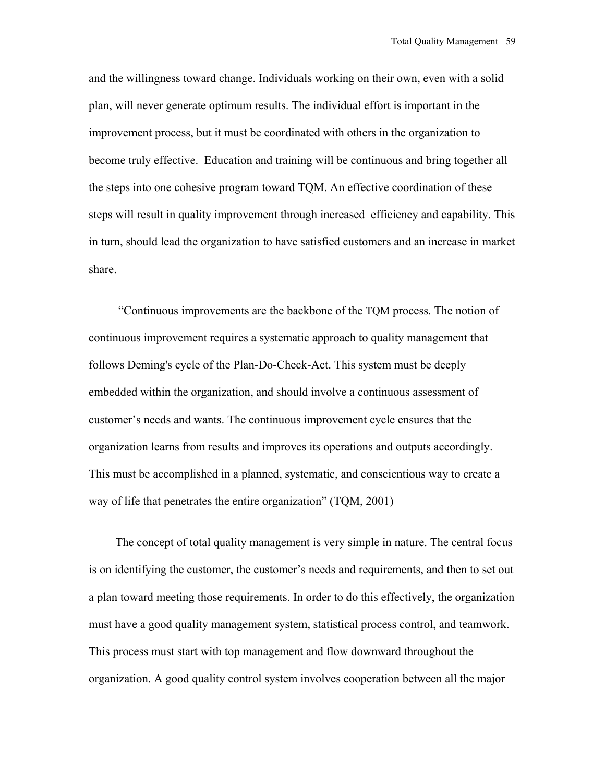and the willingness toward change. Individuals working on their own, even with a solid plan, will never generate optimum results. The individual effort is important in the improvement process, but it must be coordinated with others in the organization to become truly effective. Education and [training](http://kimbler_pc.eng.clemson.edu/educate.htm) will be continuous and bring together all the steps into one cohesive [program](http://www.creacon.com/SCHOOLS/) toward TQM. An effective coordination of these steps will result in quality improvement through increased efficiency and capability. This in turn, should lead the organization to have satisfied customers and an increase in market share.

 "Continuous improvements are the backbone of the TQM process. The notion of continuous improvement requires a systematic approach to quality management that follows Deming's cycle of the Plan-Do-Check-Act. This system must be deeply embedded within the organization, and should involve a continuous assessment of customer's needs and wants. The continuous improvement cycle ensures that the organization learns from results and improves its operations and outputs accordingly. This must be accomplished in a planned, systematic, and conscientious way to create a way of life that penetrates the entire organization" (TQM, 2001)

 The concept of total quality management is very simple in nature. The central focus is on identifying the customer, the customer's needs and requirements, and then to set out a plan toward meeting those requirements. In order to do this effectively, the organization must have a good quality management system, statistical process control, and teamwork. This process must start with top management and flow downward throughout the organization. A good quality control system involves cooperation between all the major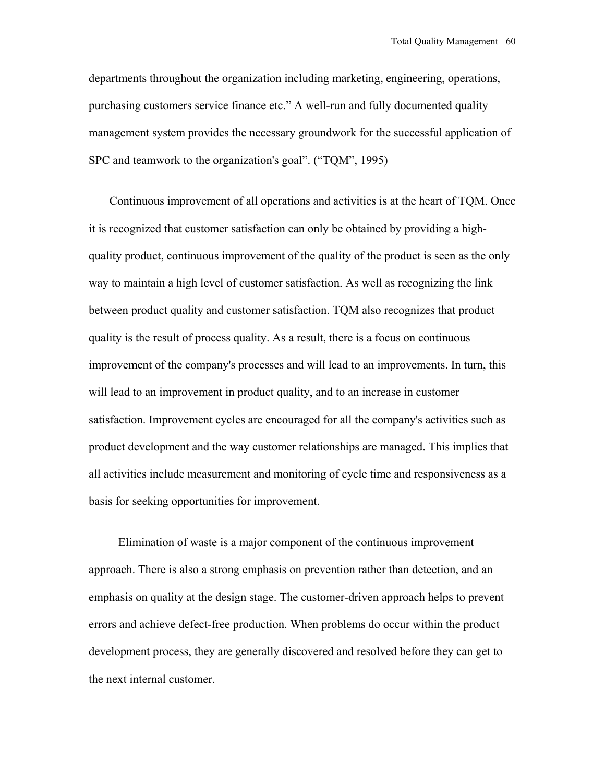departments throughout the organization including marketing, engineering, operations, purchasing customers service finance etc." A well-run and fully documented quality management system provides the necessary groundwork for the successful application of SPC and teamwork to the organization's goal". ("TQM", 1995)

 Continuous improvement of all operations and activities is at the heart of TQM. Once it is recognized that customer satisfaction can only be obtained by providing a highquality product, continuous improvement of the quality of the product is seen as the only way to maintain a high level of customer satisfaction. As well as recognizing the link between product quality and customer satisfaction. TQM also recognizes that product quality is the result of process quality. As a result, there is a focus on continuous improvement of the company's processes and will lead to an improvements. In turn, this will lead to an improvement in product quality, and to an increase in customer satisfaction. Improvement cycles are encouraged for all the company's activities such as product development and the way customer relationships are managed. This implies that all activities include measurement and monitoring of cycle time and responsiveness as a basis for seeking opportunities for improvement.

 Elimination of waste is a major component of the continuous improvement approach. There is also a strong emphasis on prevention rather than detection, and an emphasis on quality at the design stage. The customer-driven approach helps to prevent errors and achieve defect-free production. When problems do occur within the product development process, they are generally discovered and resolved before they can get to the next internal customer.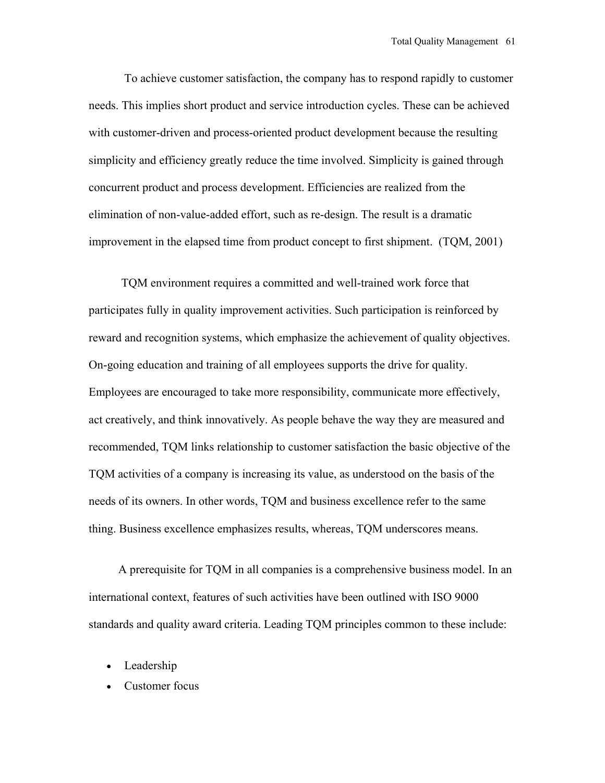To achieve customer satisfaction, the company has to respond rapidly to customer needs. This implies short product and service introduction cycles. These can be achieved with customer-driven and process-oriented product development because the resulting simplicity and efficiency greatly reduce the time involved. Simplicity is gained through concurrent product and process development. Efficiencies are realized from the elimination of non-value-added effort, such as re-design. The result is a dramatic improvement in the elapsed time from product concept to first shipment. (TQM, 2001)

 TQM environment requires a committed and well-trained work force that participates fully in quality improvement activities. Such participation is reinforced by reward and recognition systems, which emphasize the achievement of quality objectives. On-going education and training of all employees supports the drive for quality. Employees are encouraged to take more responsibility, communicate more effectively, act creatively, and think innovatively. As people behave the way they are measured and recommended, TQM links relationship to customer satisfaction the basic objective of the TQM activities of a company is increasing its value, as understood on the basis of the needs of its owners. In other words, TQM and business excellence refer to the same thing. Business excellence emphasizes results, whereas, TQM underscores means.

 A prerequisite for TQM in all companies is a comprehensive business model. In an international context, features of such activities have been outlined with ISO 9000 standards and quality award criteria. Leading TQM principles common to these include:

- Leadership
- Customer focus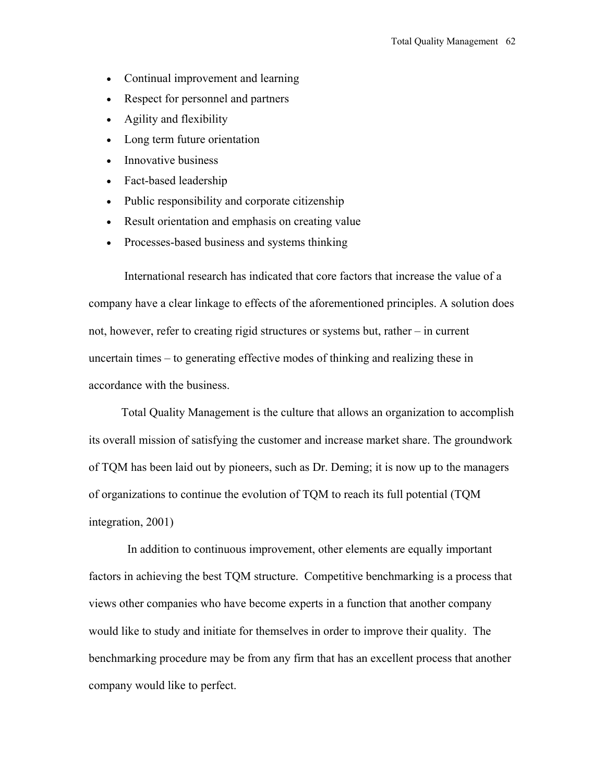- Continual improvement and learning
- Respect for personnel and partners
- Agility and flexibility
- Long term future orientation
- Innovative business
- Fact-based leadership
- Public responsibility and corporate citizenship
- Result orientation and emphasis on creating value
- Processes-based business and systems thinking

 International research has indicated that core factors that increase the value of a company have a clear linkage to effects of the aforementioned principles. A solution does not, however, refer to creating rigid structures or systems but, rather – in current uncertain times – to generating effective modes of thinking and realizing these in accordance with the business.

 Total Quality Management is the culture that allows an organization to accomplish its overall mission of satisfying the customer and increase market share. The groundwork of TQM has been laid out by pioneers, such as [Dr. Deming;](gopher://deming.eng.clemson.edu/ORO-7561-/pub/tqmbbs/misc/demob.txt) it is now up to the managers of organizations to continue the evolution of TQM to reach its full potential (TQM integration, 2001)

 In addition to continuous improvement, other elements are equally important factors in achieving the best TQM structure. Competitive benchmarking is a process that views other companies who have become experts in a function that another company would like to study and initiate for themselves in order to improve their quality. The benchmarking procedure may be from any firm that has an excellent process that another company would like to perfect.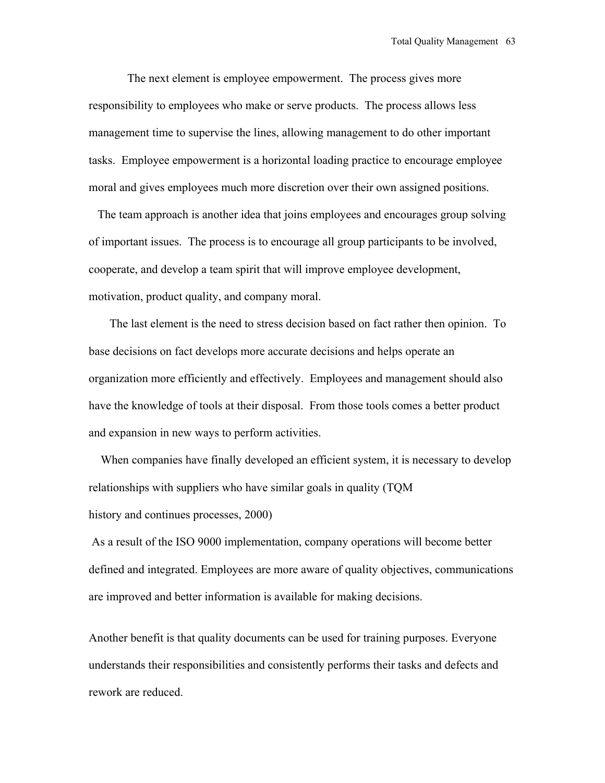The next element is employee empowerment. The process gives more responsibility to employees who make or serve products. The process allows less management time to supervise the lines, allowing management to do other important tasks. Employee empowerment is a horizontal loading practice to encourage employee moral and gives employees much more discretion over their own assigned positions.

 The team approach is another idea that joins employees and encourages group solving of important issues. The process is to encourage all group participants to be involved, cooperate, and develop a team spirit that will improve employee development, motivation, product quality, and company moral.

 The last element is the need to stress decision based on fact rather then opinion. To base decisions on fact develops more accurate decisions and helps operate an organization more efficiently and effectively. Employees and management should also have the knowledge of tools at their disposal. From those tools comes a better product and expansion in new ways to perform activities.

 When companies have finally developed an efficient system, it is necessary to develop relationships with suppliers who have similar goals in quality (TQM history and continues processes, 2000)

As a result of the ISO 9000 implementation, company operations will become better defined and integrated. Employees are more aware of quality objectives, communications are improved and better information is available for making decisions.

Another benefit is that quality documents can be used for training purposes. Everyone understands their responsibilities and consistently performs their tasks and defects and rework are reduced.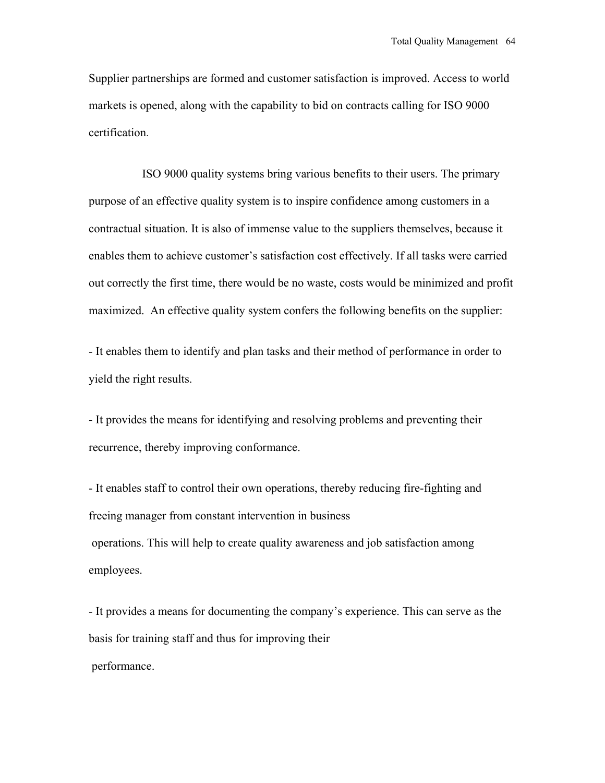Supplier partnerships are formed and customer satisfaction is improved. Access to world markets is opened, along with the capability to bid on contracts calling for ISO 9000 certification.

 ISO 9000 quality systems bring various benefits to their users. The primary purpose of an effective quality system is to inspire confidence among customers in a contractual situation. It is also of immense value to the suppliers themselves, because it enables them to achieve customer's satisfaction cost effectively. If all tasks were carried out correctly the first time, there would be no waste, costs would be minimized and profit maximized. An effective quality system confers the following benefits on the supplier:

- It enables them to identify and plan tasks and their method of performance in order to yield the right results.

- It provides the means for identifying and resolving problems and preventing their recurrence, thereby improving conformance.

- It enables staff to control their own operations, thereby reducing fire-fighting and freeing manager from constant intervention in business operations. This will help to create quality awareness and job satisfaction among employees.

- It provides a means for documenting the company's experience. This can serve as the basis for training staff and thus for improving their performance.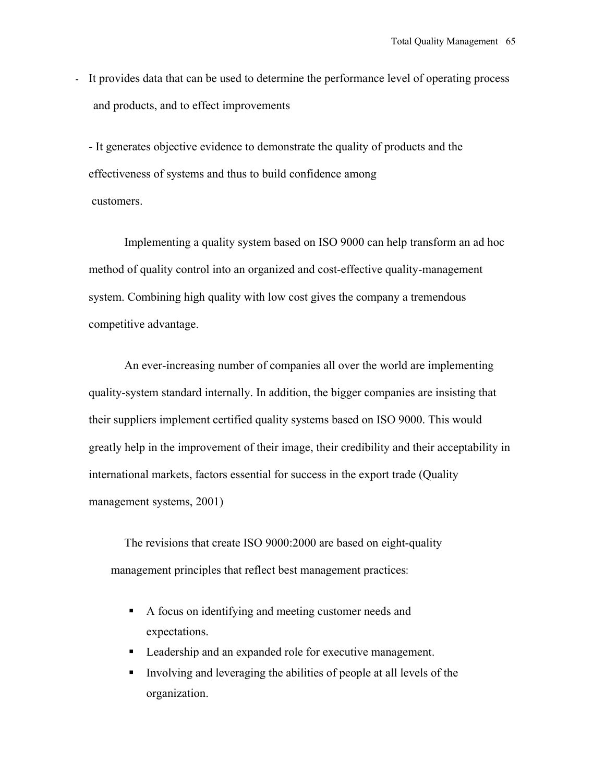- It provides data that can be used to determine the performance level of operating process and products, and to effect improvements

- It generates objective evidence to demonstrate the quality of products and the effectiveness of systems and thus to build confidence among customers.

 Implementing a quality system based on ISO 9000 can help transform an ad hoc method of quality control into an organized and cost-effective quality-management system. Combining high quality with low cost gives the company a tremendous competitive advantage.

 An ever-increasing number of companies all over the world are implementing quality-system standard internally. In addition, the bigger companies are insisting that their suppliers implement certified quality systems based on ISO 9000. This would greatly help in the improvement of their image, their credibility and their acceptability in international markets, factors essential for success in the export trade (Quality management systems, 2001)

The revisions that create ISO 9000:2000 are based on eight-quality management principles that reflect best management practices:

- A focus on identifying and meeting customer needs and expectations.
- Leadership and an expanded role for executive management.
- Involving and leveraging the abilities of people at all levels of the organization.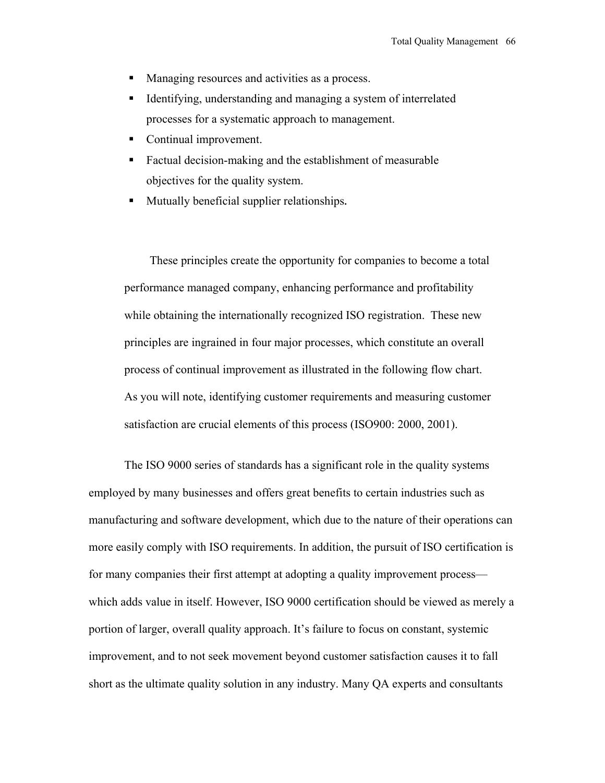- Managing resources and activities as a process.
- Identifying, understanding and managing a system of interrelated processes for a systematic approach to management.
- Continual improvement.
- Factual decision-making and the establishment of measurable objectives for the quality system.
- Mutually beneficial supplier relationships**.**

 These principles create the opportunity for companies to become a total performance managed company, enhancing performance and profitability while obtaining the internationally recognized ISO registration. These new principles are ingrained in four major processes, which constitute an overall process of continual improvement as illustrated in the following flow chart. As you will note, identifying customer requirements and measuring customer satisfaction are crucial elements of this process (ISO900: 2000, 2001).

The ISO 9000 series of standards has a significant role in the quality systems employed by many businesses and offers great benefits to certain industries such as manufacturing and software development, which due to the nature of their operations can more easily comply with ISO requirements. In addition, the pursuit of ISO certification is for many companies their first attempt at adopting a quality improvement process which adds value in itself. However, ISO 9000 certification should be viewed as merely a portion of larger, overall quality approach. It's failure to focus on constant, systemic improvement, and to not seek movement beyond customer satisfaction causes it to fall short as the ultimate quality solution in any industry. Many QA experts and consultants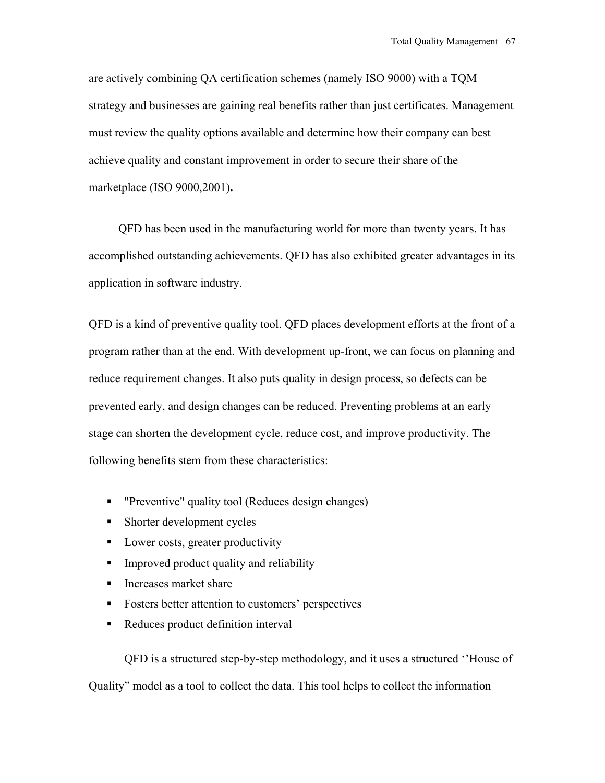are actively combining QA certification schemes (namely ISO 9000) with a TQM strategy and businesses are gaining real benefits rather than just certificates. Management must review the quality options available and determine how their company can best achieve quality and constant improvement in order to secure their share of the marketplace (ISO 9000,2001)**.** 

 QFD has been used in the manufacturing world for more than twenty years. It has accomplished outstanding achievements. QFD has also exhibited greater advantages in its application in software industry.

QFD is a kind of preventive quality tool. QFD places development efforts at the front of a program rather than at the end. With development up-front, we can focus on planning and reduce requirement changes. It also puts quality in design process, so defects can be prevented early, and design changes can be reduced. Preventing problems at an early stage can shorten the development cycle, reduce cost, and improve productivity. The following benefits stem from these characteristics:

- **•** "Preventive" quality tool (Reduces design changes)
- Shorter development cycles
- Lower costs, greater productivity
- **IMPROVED 1.5** Improved product quality and reliability
- **Increases market share**
- Fosters better attention to customers' perspectives
- Reduces product definition interval

QFD is a structured step-by-step methodology, and it uses a structured ''House of Quality" model as a tool to collect the data. This tool helps to collect the information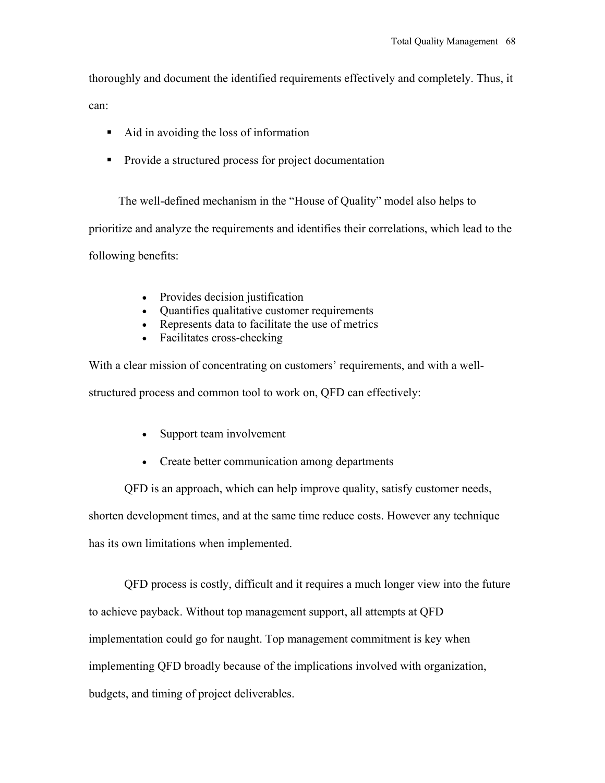thoroughly and document the identified requirements effectively and completely. Thus, it can:

- Aid in avoiding the loss of information
- Provide a structured process for project documentation

 The well-defined mechanism in the "House of Quality" model also helps to prioritize and analyze the requirements and identifies their correlations, which lead to the following benefits:

- Provides decision justification
- Quantifies qualitative customer requirements
- Represents data to facilitate the use of metrics
- Facilitates cross-checking

With a clear mission of concentrating on customers' requirements, and with a wellstructured process and common tool to work on, QFD can effectively:

- Support team involvement
- Create better communication among departments

QFD is an approach, which can help improve quality, satisfy customer needs,

shorten development times, and at the same time reduce costs. However any technique

has its own limitations when implemented.

QFD process is costly, difficult and it requires a much longer view into the future to achieve payback. Without top management support, all attempts at QFD implementation could go for naught. Top management commitment is key when implementing QFD broadly because of the implications involved with organization, budgets, and timing of project deliverables.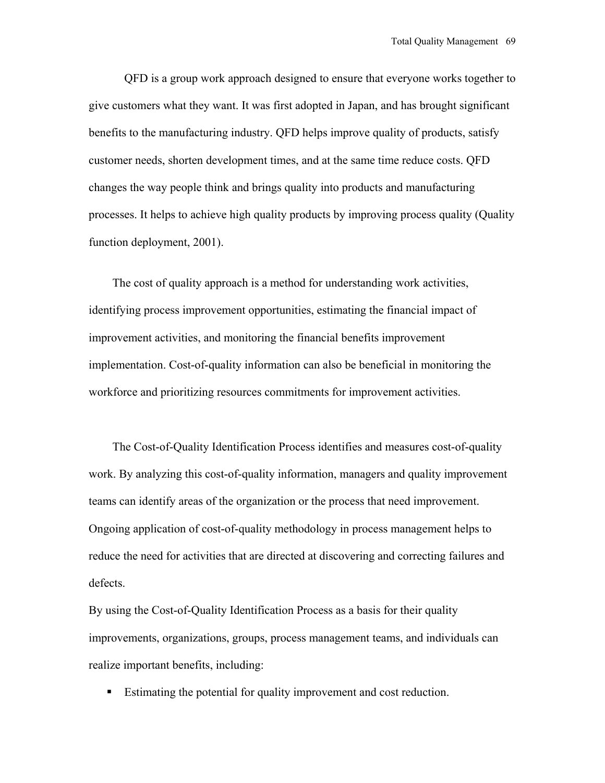QFD is a group work approach designed to ensure that everyone works together to give customers what they want. It was first adopted in Japan, and has brought significant benefits to the manufacturing industry. QFD helps improve quality of products, satisfy customer needs, shorten development times, and at the same time reduce costs. QFD changes the way people think and brings quality into products and manufacturing processes. It helps to achieve high quality products by improving process quality (Quality function deployment, 2001).

 The cost of quality approach is a method for understanding work activities, identifying process improvement opportunities, estimating the financial impact of improvement activities, and monitoring the financial benefits improvement implementation. Cost-of-quality information can also be beneficial in monitoring the workforce and prioritizing resources commitments for improvement activities.

 The Cost-of-Quality Identification Process identifies and measures cost-of-quality work. By analyzing this cost-of-quality information, managers and quality improvement teams can identify areas of the organization or the process that need improvement. Ongoing application of cost-of-quality methodology in process management helps to reduce the need for activities that are directed at discovering and correcting failures and defects.

By using the Cost-of-Quality Identification Process as a basis for their quality improvements, organizations, groups, process management teams, and individuals can realize important benefits, including:

Estimating the potential for quality improvement and cost reduction.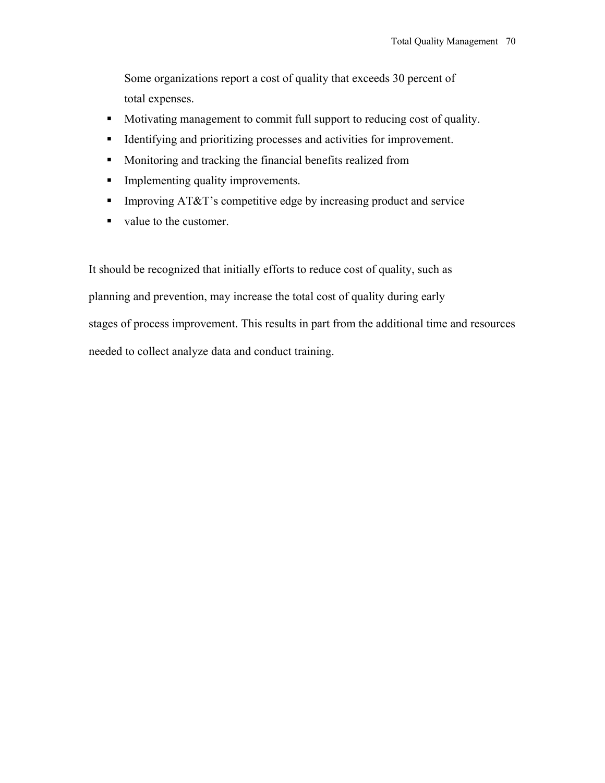Some organizations report a cost of quality that exceeds 30 percent of total expenses.

- Motivating management to commit full support to reducing cost of quality.
- Identifying and prioritizing processes and activities for improvement.
- Monitoring and tracking the financial benefits realized from
- **Implementing quality improvements.**
- Improving  $AT&T$ 's competitive edge by increasing product and service
- value to the customer.

It should be recognized that initially efforts to reduce cost of quality, such as planning and prevention, may increase the total cost of quality during early stages of process improvement. This results in part from the additional time and resources needed to collect analyze data and conduct training.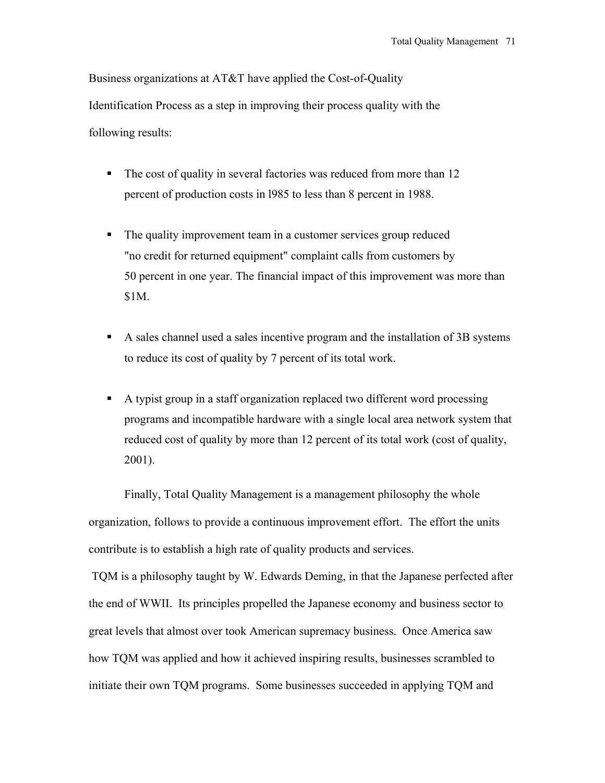Business organizations at AT&T have applied the Cost-of-Quality Identification Process as a step in improving their process quality with the following results:

- The cost of quality in several factories was reduced from more than 12 percent of production costs in l985 to less than 8 percent in 1988.
- The quality improvement team in a customer services group reduced "no credit for returned equipment" complaint calls from customers by 50 percent in one year. The financial impact of this improvement was more than \$1M.
- A sales channel used a sales incentive program and the installation of 3B systems to reduce its cost of quality by 7 percent of its total work.
- A typist group in a staff organization replaced two different word processing programs and incompatible hardware with a single local area network system that reduced cost of quality by more than 12 percent of its total work (cost of quality, 2001).

 Finally, Total Quality Management is a management philosophy the whole organization, follows to provide a continuous improvement effort. The effort the units contribute is to establish a high rate of quality products and services.

 TQM is a philosophy taught by W. Edwards Deming, in that the Japanese perfected after the end of WWII. Its principles propelled the Japanese economy and business sector to great levels that almost over took American supremacy business. Once America saw how TQM was applied and how it achieved inspiring results, businesses scrambled to initiate their own TQM programs. Some businesses succeeded in applying TQM and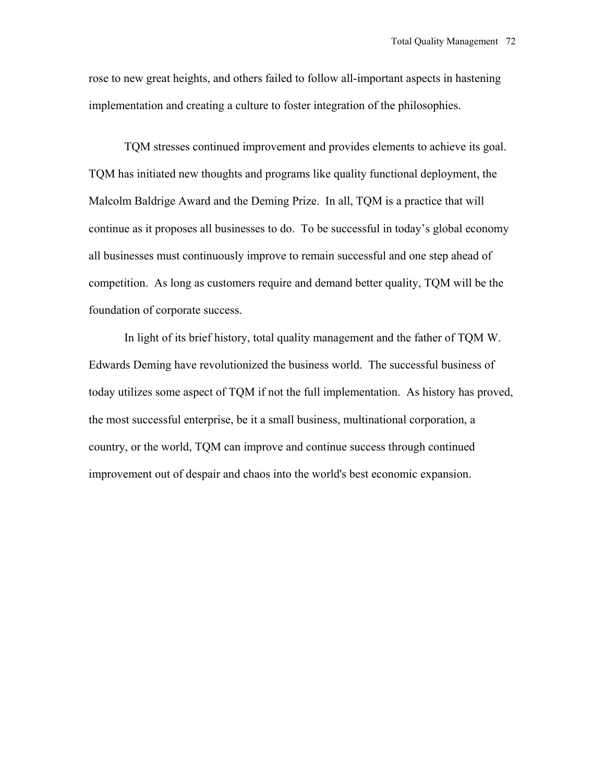rose to new great heights, and others failed to follow all-important aspects in hastening implementation and creating a culture to foster integration of the philosophies.

 TQM stresses continued improvement and provides elements to achieve its goal. TQM has initiated new thoughts and programs like quality functional deployment, the Malcolm Baldrige Award and the Deming Prize. In all, TQM is a practice that will continue as it proposes all businesses to do. To be successful in today's global economy all businesses must continuously improve to remain successful and one step ahead of competition. As long as customers require and demand better quality, TQM will be the foundation of corporate success.

 In light of its brief history, total quality management and the father of TQM W. Edwards Deming have revolutionized the business world. The successful business of today utilizes some aspect of TQM if not the full implementation. As history has proved, the most successful enterprise, be it a small business, multinational corporation, a country, or the world, TQM can improve and continue success through continued improvement out of despair and chaos into the world's best economic expansion.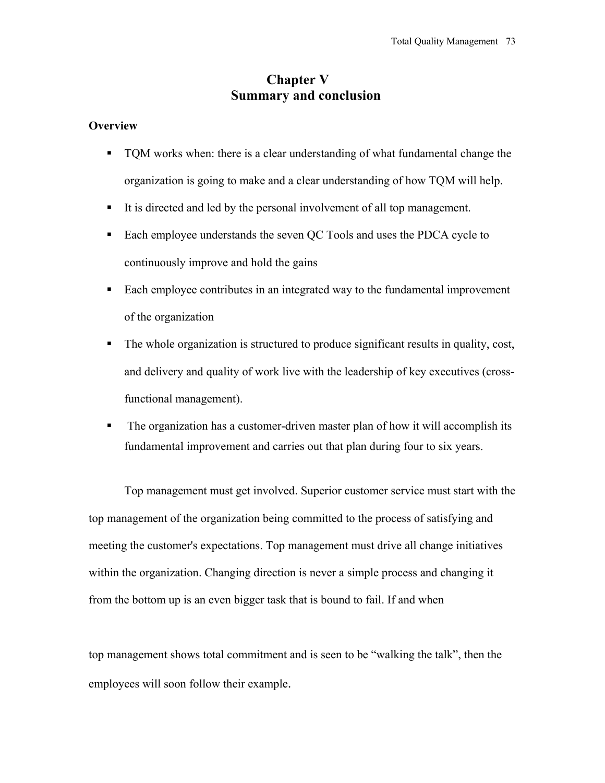## **Chapter V Summary and conclusion**

## **Overview**

- TQM works when: there is a clear understanding of what fundamental change the organization is going to make and a clear understanding of how TQM will help.
- It is directed and led by the personal involvement of all top management.
- Each employee understands the seven QC Tools and uses the PDCA cycle to continuously improve and hold the gains
- Each employee contributes in an integrated way to the fundamental improvement of the organization
- The whole organization is structured to produce significant results in quality, cost, and delivery and quality of work live with the leadership of key executives (crossfunctional management).
- The organization has a customer-driven master plan of how it will accomplish its fundamental improvement and carries out that plan during four to six years.

 Top management must get involved. Superior customer service must start with the top management of the organization being committed to the process of satisfying and meeting the customer's expectations. Top management must drive all change initiatives within the organization. Changing direction is never a simple process and changing it from the bottom up is an even bigger task that is bound to fail. If and when

top management shows total commitment and is seen to be "walking the talk", then the employees will soon follow their example.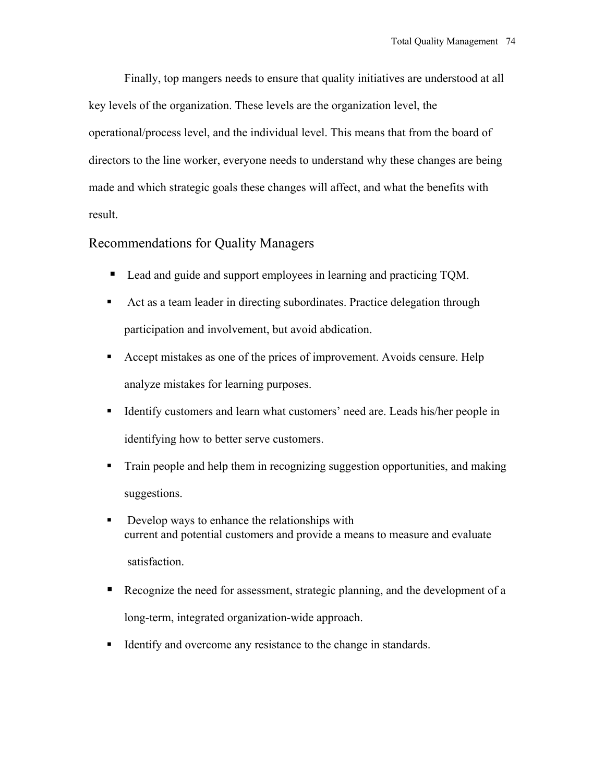Finally, top mangers needs to ensure that quality initiatives are understood at all key levels of the organization. These levels are the organization level, the operational/process level, and the individual level. This means that from the board of directors to the line worker, everyone needs to understand why these changes are being made and which strategic goals these changes will affect, and what the benefits with result.

## Recommendations for Quality Managers

- Lead and guide and support employees in learning and practicing TQM.
- Act as a team leader in directing subordinates. Practice delegation through participation and involvement, but avoid abdication.
- Accept mistakes as one of the prices of improvement. Avoids censure. Help analyze mistakes for learning purposes.
- Identify customers and learn what customers' need are. Leads his/her people in identifying how to better serve customers.
- **Train people and help them in recognizing suggestion opportunities, and making** suggestions.
- Develop ways to enhance the relationships with current and potential customers and provide a means to measure and evaluate satisfaction.
- Recognize the need for assessment, strategic planning, and the development of a long-term, integrated organization-wide approach.
- Identify and overcome any resistance to the change in standards.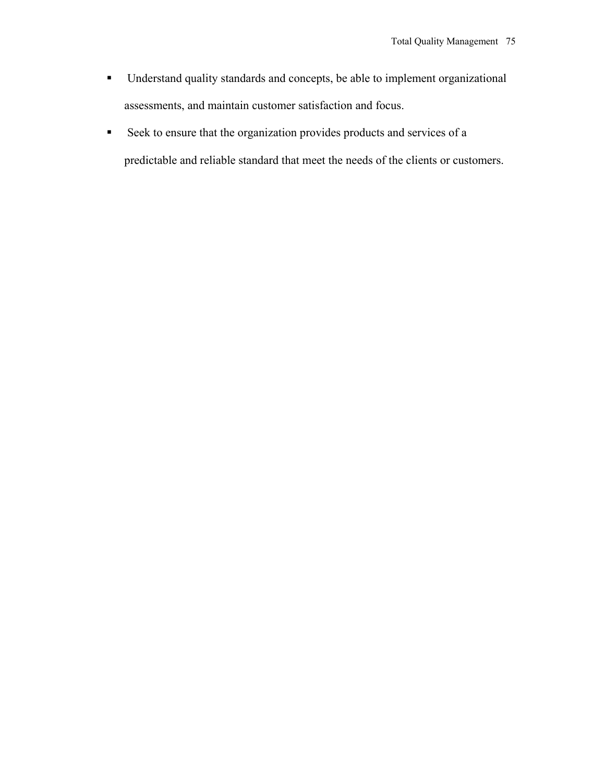- Understand quality standards and concepts, be able to implement organizational assessments, and maintain customer satisfaction and focus.
- Seek to ensure that the organization provides products and services of a predictable and reliable standard that meet the needs of the clients or customers.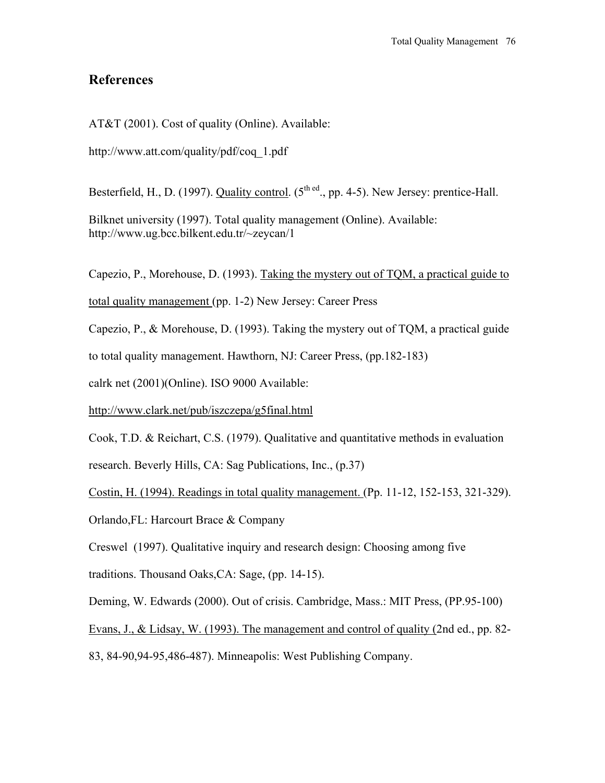## **References**

AT&T (2001). Cost of quality (Online). Available:

[http://www.att.com/quality/pdf/coq\\_1.pdf](http://www.att.com/quality/pdf/coq_1.pdf)

Besterfield, H., D. (1997). Quality control.  $(5^{th}$ <sup>ed</sup>., pp. 4-5). New Jersey: prentice-Hall.

Bilknet university (1997). Total quality management (Online). Available: <http://www.ug.bcc.bilkent.edu.tr/~zeycan/1>

Capezio, P., Morehouse, D. (1993). Taking the mystery out of TQM, a practical guide to

total quality management (pp. 1-2) New Jersey: Career Press

Capezio, P., & Morehouse, D. (1993). Taking the mystery out of TQM, a practical guide

to total quality management. Hawthorn, NJ: Career Press, (pp.182-183)

calrk net (2001)(Online). ISO 9000 Available:

<http://www.clark.net/pub/iszczepa/g5final.html>

Cook, T.D. & Reichart, C.S. (1979). Qualitative and quantitative methods in evaluation research. Beverly Hills, CA: Sag Publications, Inc., (p.37)

Costin, H. (1994). Readings in total quality management. (Pp. 11-12, 152-153, 321-329).

Orlando,FL: Harcourt Brace & Company

Creswel (1997). Qualitative inquiry and research design: Choosing among five

traditions. Thousand Oaks,CA: Sage, (pp. 14-15).

Deming, W. Edwards (2000). Out of crisis. Cambridge, Mass.: MIT Press, (PP.95-100)

Evans, J., & Lidsay, W. (1993). The management and control of quality (2nd ed., pp. 82-

83, 84-90,94-95,486-487). Minneapolis: West Publishing Company.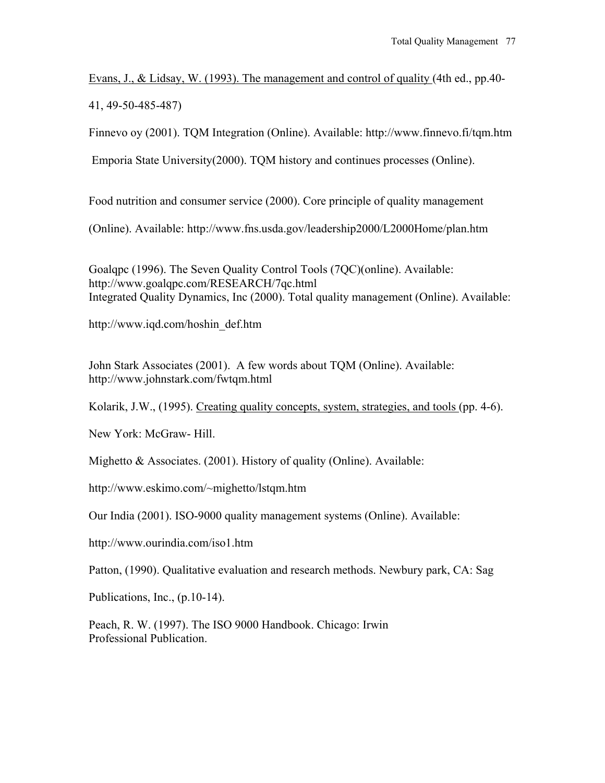Evans, J., & Lidsay, W. (1993). The management and control of quality (4th ed., pp.40- 41, 49-50-485-487)

Finnevo oy (2001). TQM Integration (Online). Available:<http://www.finnevo.fi/tqm.htm>

[Emporia State University\(](http://www.emporia.edu/)2000). TQM history and continues processes (Online).

Food nutrition and consumer service (2000). Core principle of quality management

(Online). Available: <http://www.fns.usda.gov/leadership2000/L2000Home/plan.htm>

Goalqpc (1996). The Seven Quality Control Tools (7QC)(online). Available: <http://www.goalqpc.com/RESEARCH/7qc.html> Integrated Quality Dynamics, Inc (2000). Total quality management (Online). Available:

[http://www.iqd.com/hoshin\\_def.htm](http://www.iqd.com/hoshin_def.htm)

John Stark Associates (2001). A few words about TQM (Online). Available: http://www.johnstark.com/fwtqm.html

Kolarik, J.W., (1995). Creating quality concepts, system, strategies, and tools (pp. 4-6).

New York: McGraw- Hill.

Mighetto & Associates. (2001). History of quality (Online). Available:

<http://www.eskimo.com/~mighetto/lstqm.htm>

Our India (2001). ISO-9000 quality management systems (Online). Available:

<http://www.ourindia.com/iso1.htm>

Patton, (1990). Qualitative evaluation and research methods. Newbury park, CA: Sag

Publications, Inc., (p.10-14).

Peach, R. W. (1997). The ISO 9000 Handbook. Chicago: Irwin Professional Publication.